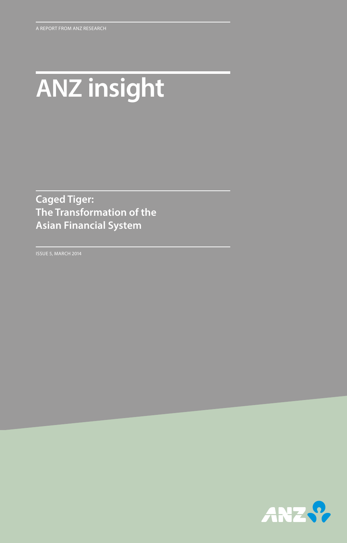# **ANZ insight**

**Caged Tiger: The Transformation of the Asian Financial System**

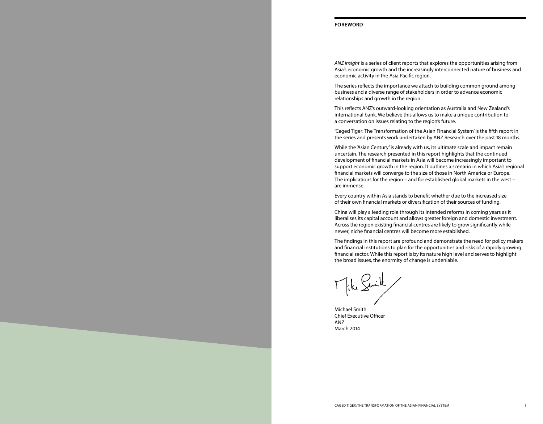*ANZ insight* is a series of client reports that explores the opportunities arising from Asia's economic growth and the increasingly interconnected nature of business and economic activity in the Asia Pacific region.

The series reflects the importance we attach to building common ground among business and a diverse range of stakeholders in order to advance economic relationships and growth in the region.

This reflects ANZ's outward-looking orientation as Australia and New Zealand's international bank. We believe this allows us to make a unique contribution to a conversation on issues relating to the region's future.

'Caged Tiger: The Transformation of the Asian Financial System' is the fifth report in the series and presents work undertaken by ANZ Research over the past 18 months.

While the 'Asian Century' is already with us, its ultimate scale and impact remain uncertain. The research presented in this report highlights that the continued development of financial markets in Asia will become increasingly important to support economic growth in the region. It outlines a scenario in which Asia's regional financial markets will converge to the size of those in North America or Europe. The implications for the region – and for established global markets in the west – are immense.

Every country within Asia stands to benefit whether due to the increased size of their own financial markets or diversification of their sources of funding.

China will play a leading role through its intended reforms in coming years as it liberalises its capital account and allows greater foreign and domestic investment. Across the region existing financial centres are likely to grow significantly while newer, niche financial centres will become more established.

The findings in this report are profound and demonstrate the need for policy makers and financial institutions to plan for the opportunities and risks of a rapidly growing financial sector. While this report is by its nature high level and serves to highlight the broad issues, the enormity of change is undeniable.

Tike Smith

Michael Smith Chief Executive Officer ANZ March 2014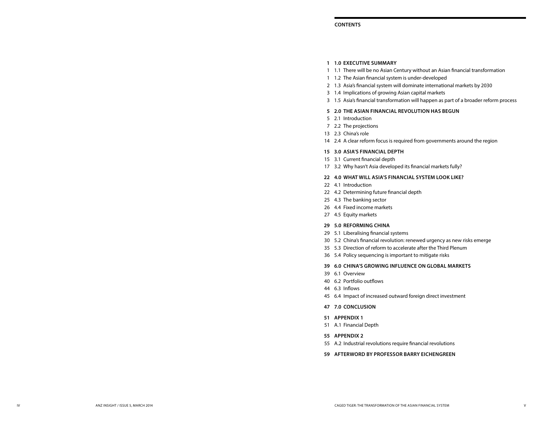#### **1.0 EXECUTIVE SUMMARY**

- 1 1.1 There will be no Asian Century without an Asian financial transformation
- 1.2 The Asian financial system is under-developed
- 1.3 Asia's financial system will dominate international markets by 2030
- 1.4 Implications of growing Asian capital markets
- 1.5 Asia's financial transformation will happen as part of a broader reform process

# **2.0 THE ASIAN FINANCIAL REVOLUTION HAS BEGUN**

- 2.1 Introduction
- 2.2 The projections
- 2.3 China's role
- 2.4 A clear reform focus is required from governments around the region

#### **3.0 ASIA'S FINANCIAL DEPTH**

- 3.1 Current financial depth
- 3.2 Why hasn't Asia developed its financial markets fully?

# **4.0 WHAT WILL ASIA'S FINANCIAL SYSTEM LOOK LIKE?**

- 4.1 Introduction
- 4.2 Determining future financial depth
- 4.3 The banking sector
- 4.4 Fixed income markets
- 4.5 Equity markets

#### **5.0 REFORMING CHINA**

- 5.1 Liberalising financial systems
- 5.2 China's financial revolution: renewed urgency as new risks emerge
- 5.3 Direction of reform to accelerate after the Third Plenum
- 5.4 Policy sequencing is important to mitigate risks

#### **6.0 CHINA'S GROWING INFLUENCE ON GLOBAL MARKETS**

- 6.1 Overview
- 6.2 Portfolio outflows
- 6.3 Inflows
- 6.4 Impact of increased outward foreign direct investment
- **7.0 CONCLUSION**

#### **APPENDIX 1**

- A.1 Financial Depth
- **APPENDIX 2**
- A.2 Industrial revolutions require financial revolutions
- **AFTERWORD BY PROFESSOR BARRY EICHENGREEN**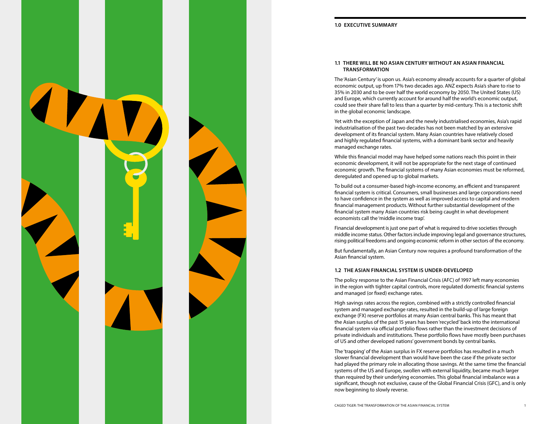

#### **1.1 THERE WILL BE NO ASIAN CENTURY WITHOUT AN ASIAN FINANCIAL TRANSFORMATION**

The 'Asian Century' is upon us. Asia's economy already accounts for a quarter of global economic output, up from 17% two decades ago. ANZ expects Asia's share to rise to 35% in 2030 and to be over half the world economy by 2050. The United States (US) and Europe, which currently account for around half the world's economic output, could see their share fall to less than a quarter by mid-century. This is a tectonic shift in the global economic landscape.

Yet with the exception of Japan and the newly industrialised economies, Asia's rapid industrialisation of the past two decades has not been matched by an extensive development of its financial system. Many Asian countries have relatively closed and highly regulated financial systems, with a dominant bank sector and heavily managed exchange rates.

While this financial model may have helped some nations reach this point in their economic development, it will not be appropriate for the next stage of continued economic growth. The financial systems of many Asian economies must be reformed, deregulated and opened up to global markets.

To build out a consumer-based high-income economy, an efficient and transparent financial system is critical. Consumers, small businesses and large corporations need to have confidence in the system as well as improved access to capital and modern financial management products. Without further substantial development of the financial system many Asian countries risk being caught in what development economists call the 'middle income trap'.

Financial development is just one part of what is required to drive societies through middle income status. Other factors include improving legal and governance structures, rising political freedoms and ongoing economic reform in other sectors of the economy.

But fundamentally, an Asian Century now requires a profound transformation of the Asian financial system.

# **1.2 THE ASIAN FINANCIAL SYSTEM IS UNDER-DEVELOPED**

The policy response to the Asian Financial Crisis (AFC) of 1997 left many economies in the region with tighter capital controls, more regulated domestic financial systems and managed (or fixed) exchange rates.

High savings rates across the region, combined with a strictly controlled financial system and managed exchange rates, resulted in the build-up of large foreign exchange (FX) reserve portfolios at many Asian central banks. This has meant that the Asian surplus of the past 15 years has been 'recycled' back into the international financial system via official portfolio flows rather than the investment decisions of private individuals and institutions. These portfolio flows have mostly been purchases of US and other developed nations' government bonds by central banks.

The 'trapping' of the Asian surplus in FX reserve portfolios has resulted in a much slower financial development than would have been the case if the private sector had played the primary role in allocating those savings. At the same time the financial systems of the US and Europe, swollen with external liquidity, became much larger than required by their underlying economies. This global financial imbalance was a significant, though not exclusive, cause of the Global Financial Crisis (GFC), and is only now beginning to slowly reverse.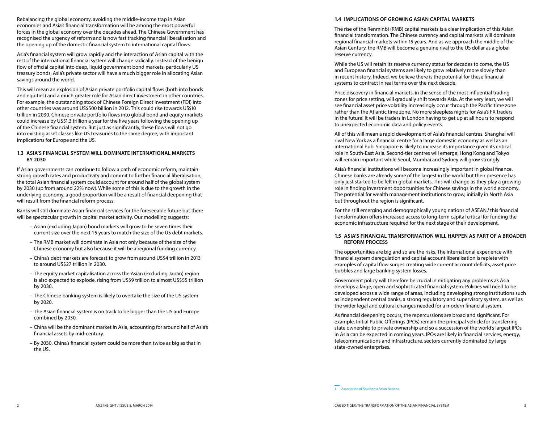Rebalancing the global economy, avoiding the middle-income trap in Asian economies and Asia's financial transformation will be among the most powerful forces in the global economy over the decades ahead. The Chinese Government has recognised the urgency of reform and is now fast tracking financial liberalisation and the opening up of the domestic financial system to international capital flows.

Asia's financial system will grow rapidly and the interaction of Asian capital with the rest of the international financial system will change radically. Instead of the benign flow of official capital into deep, liquid government bond markets, particularly US treasury bonds, Asia's private sector will have a much bigger role in allocating Asian savings around the world.

This will mean an explosion of Asian private portfolio capital flows (both into bonds and equities) and a much greater role for Asian direct investment in other countries. For example, the outstanding stock of Chinese Foreign Direct Investment (FDI) into other countries was around US\$500 billion in 2012. This could rise towards US\$10 trillion in 2030. Chinese private portfolio flows into global bond and equity markets could increase by US\$1.3 trillion a year for the five years following the opening up of the Chinese financial system. But just as significantly, these flows will not go into existing asset classes like US treasuries to the same degree, with important implications for Europe and the US.

# **1.3 ASIA'S FINANCIAL SYSTEM WILL DOMINATE INTERNATIONAL MARKETS BY 2030**

If Asian governments can continue to follow a path of economic reform, maintain strong growth rates and productivity and commit to further financial liberalisation, the total Asian financial system could account for around half of the global system by 2030 (up from around 22% now). While some of this is due to the growth in the underlying economy, a good proportion will be a result of financial deepening that will result from the financial reform process.

Banks will still dominate Asian financial services for the foreseeable future but there will be spectacular growth in capital market activity. Our modelling suggests:

- Asian (excluding Japan) bond markets will grow to be seven times their current size over the next 15 years to match the size of the US debt markets.
- The RMB market will dominate in Asia not only because of the size of the Chinese economy but also because it will be a regional funding currency.
- China's debt markets are forecast to grow from around US\$4 trillion in 2013 to around US\$27 trillion in 2030.
- The equity market capitalisation across the Asian (excluding Japan) region is also expected to explode, rising from US\$9 trillion to almost US\$55 trillion by 2030.
- The Chinese banking system is likely to overtake the size of the US system by 2020.
- The Asian financial system is on track to be bigger than the US and Europe combined by 2030.
- China will be the dominant market in Asia, accounting for around half of Asia's financial assets by mid-century.
- By 2030, China's financial system could be more than twice as big as that in the US.

# **1 . 4 IMPLICATIONS OF GROWING ASIAN CAPITAL MARKETS**

The rise of the Renminbi (RMB) capital markets is a clear implication of this Asian financial transformation. The Chinese currency and capital markets will dominate regional financial markets within 15 years. And as we approach the middle of the Asian Century, the RMB will become a genuine rival to the US dollar as a global reserve currency.

While the US will retain its reserve currency status for decades to come, the US and European financial systems are likely to grow relatively more slowly than in recent history. Indeed, we believe there is the potential for these financial systems to contract in real terms over the next decade.

Price discovery in financial markets, in the sense of the most influential trading zones for price setting, will gradually shift towards Asia. At the very least, we will see financial asset price volatility increasingly occur through the Pacific time zone rather than the Atlantic time zone. No more sleepless nights for Asia's FX traders in the future! It will be traders in London having to get up at all hours to respond to unexpected economic data and policy events.

All of this will mean a rapid development of Asia's financial centres. Shanghai will rival New York as a financial centre for a large domestic economy as well as an international hub. Singapore is likely to increase its importance given its critical role in South-East Asia. Second-tier centres will emerge; Hong Kong and Tokyo will remain important while Seoul, Mumbai and Sydney will grow strongly.

Asia's financial institutions will become increasingly important in global finance. Chinese banks are already some of the largest in the world but their presence has only just started to be felt in global markets. This will change as they play a growing role in finding investment opportunities for Chinese savings in the world economy. The potential for wealth management institutions to grow, initially in North Asia but throughout the region is significant.

For the still emerging and demographically young nations of ASEAN,<sup>1</sup> this financial transformation offers increased access to long-term capital critical for funding the economic infrastructure required for the next stage of their development.

# **1.5 ASIA'S FINANCIAL TRANSFORMATION WILL HAPPEN AS PART OF A BROADER REFORM PROCESS**

The opportunities are big and so are the risks. The international experience with financial system deregulation and capital account liberalisation is replete with examples of capital flow surges creating wide current account deficits, asset price bubbles and large banking system losses.

Government policy will therefore be crucial in mitigating any problems as Asia develops a large, open and sophisticated financial system. Policies will need to be developed across a wide range of areas, including developing strong institutions such as independent central banks, a strong regulatory and supervisory system, as well as the wider legal and cultural changes needed for a modern financial system.

As financial deepening occurs, the repercussions are broad and significant. For example, Initial Public Offerings (IPOs) remain the principal vehicle for transferring state ownership to private ownership and so a succession of the world's largest IPOs in Asia can be expected in coming years. IPOs are likely in financial services, energy, telecommunications and infrastructure, sectors currently dominated by large state-owned enterprises.

1 Association of Southeast Asian Nations.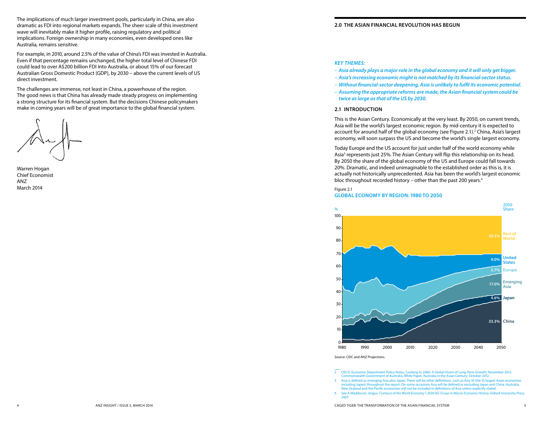The implications of much larger investment pools, particularly in China, are also dramatic as FDI into regional markets expands. The sheer scale of this investment wave will inevitably make it higher profile, raising regulatory and political implications. Foreign ownership in many economies, even developed ones like Australia, remains sensitive.

For example, in 2010, around 2.5% of the value of China's FDI was invested in Australia. Even if that percentage remains unchanged, the higher total level of Chinese FDI could lead to over A\$200 billion FDI into Australia, or about 15% of our forecast Australian Gross Domestic Product (GDP), by 2030 – above the current levels of US direct investment.

The challenges are immense, not least in China, a powerhouse of the region. The good news is that China has already made steady progress on implementing a strong structure for its financial system. But the decisions Chinese policymakers make in coming years will be of great importance to the global financial system.

Warren Hogan Chief Economist ANZ March 2014

#### **2.0 THE ASIAN FINANCIAL REVOLUTION HAS BEGUN**

#### *KEY THEMES:*

- *Asia already plays a major role in the global economy and it will only get bigger.*
- *Asia's increasing economic might is not matched by its financial-sector status.*
- *Without financial-sector deepening, Asia is unlikely to fulfil its economic potential.*
- *Assuming the appropriate reforms are made, the Asian financial system could be twice as large as that of the US by 2030.*

# **2.1 INTRODUCTION**

This is the Asian Century. Economically at the very least. By 2050, on current trends, Asia will be the world's largest economic region. By mid-century it is expected to account for around half of the global economy (see Figure 2.1).<sup>2</sup> China, Asia's largest economy, will soon surpass the US and become the world's single largest economy.

Today Europe and the US account for just under half of the world economy while Asia<sup>3</sup> represents just 25%. The Asian Century will flip this relationship on its head. By 2050 the share of the global economy of the US and Europe could fall towards 20%. Dramatic, and indeed unimaginable to the established order as this is, it is actually not historically unprecedented. Asia has been the world's largest economic bloc throughout recorded history – other than the past 200 years.<sup>4</sup>

#### Figure 2.1 **GLOBAL ECONOMY BY REGION: 1980 TO 2050**



Source: CEIC and ANZ Projections.

2 OECD, Economic Department Policy Notes, 'Looking to 2060: A Global Vision of Long-Term Growth', November 2012. Commonwealth Government of Australia, White Paper, 'Australia in the Asian Century', October 2012.

3 Asia is defined as emerging Asia plus Japan. There will be other definitions, such as Asia 10 (the 10 largest Asian economic line of the 10 largest Asian economic line as a such as Asian economies and China Asian economi including Japan) throughout the report. On some occasions Asia will be defined as excluding Japan and China. Australia, New Zealand and the Pacific economies will not be included in definitions of Asia unless explicitly stated.

4 See A Maddisson, Angus. *Contours of the World Economy 1-2030 AD. Essays in Macro-Economic History*, Oxford University Press, 2007.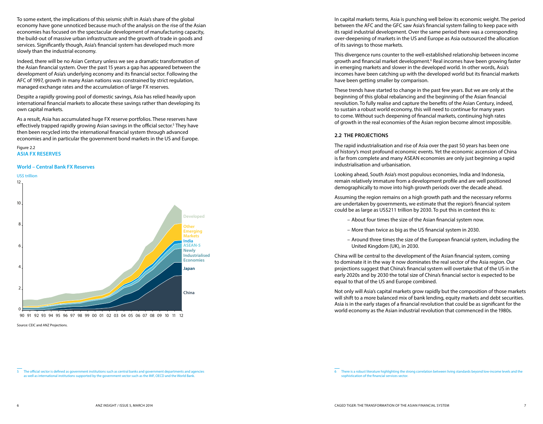To some extent, the implications of this seismic shift in Asia's share of the global economy have gone unnoticed because much of the analysis on the rise of the Asian economies has focused on the spectacular development of manufacturing capacity, the build-out of massive urban infrastructure and the growth of trade in goods and services. Significantly though, Asia's financial system has developed much more slowly than the industrial economy.

Indeed, there will be no Asian Century unless we see a dramatic transformation of the Asian financial system. Over the past 15 years a gap has appeared between the development of Asia's underlying economy and its financial sector. Following the AFC of 1997, growth in many Asian nations was constrained by strict regulation, managed exchange rates and the accumulation of large FX reserves.

Despite a rapidly growing pool of domestic savings, Asia has relied heavily upon international financial markets to allocate these savings rather than developing its own capital markets.

As a result, Asia has accumulated huge FX reserve portfolios. These reserves have effectively trapped rapidly growing Asian savings in the official sector.<sup>5</sup> They have then been recycled into the international financial system through advanced economies and in particular the government bond markets in the US and Europe.

#### Figure 2.2 **ASIA FX RESERVES**

# **World – Central Bank FX Reserves**



Source: CEIC and ANZ Projections.

In capital markets terms, Asia is punching well below its economic weight. The period between the AFC and the GFC saw Asia's financial system failing to keep pace with its rapid industrial development. Over the same period there was a corresponding over-deepening of markets in the US and Europe as Asia outsourced the allocation of its savings to those markets.

This divergence runs counter to the well-established relationship between income growth and financial market development.<sup>6</sup> Real incomes have been growing faster in emerging markets and slower in the developed world. In other words, Asia's incomes have been catching up with the developed world but its financial markets have been getting smaller by comparison.

These trends have started to change in the past few years. But we are only at the beginning of this global rebalancing and the beginning of the Asian financial revolution. To fully realise and capture the benefits of the Asian Century, indeed, to sustain a robust world economy, this will need to continue for many years to come. Without such deepening of financial markets, continuing high rates of growth in the real economies of the Asian region become almost impossible.

# **2.2 THE PROJECTIONS**

The rapid industrialisation and rise of Asia over the past 50 years has been one of history's most profound economic events. Yet the economic ascension of China is far from complete and many ASEAN economies are only just beginning a rapid industrialisation and urbanisation.

Looking ahead, South Asia's most populous economies, India and Indonesia, remain relatively immature from a development profile and are well positioned demographically to move into high growth periods over the decade ahead.

Assuming the region remains on a high growth path and the necessary reforms are undertaken by governments, we estimate that the region's financial system could be as large as US\$211 trillion by 2030. To put this in context this is:

- About four times the size of the Asian financial system now.
- More than twice as big as the US financial system in 2030.
- Around three times the size of the European financial system, including the United Kingdom (UK), in 2030.

China will be central to the development of the Asian financial system, coming to dominate it in the way it now dominates the real sector of the Asia region. Our projections suggest that China's financial system will overtake that of the US in the early 2020s and by 2030 the total size of China's financial sector is expected to be equal to that of the US and Europe combined.

Not only will Asia's capital markets grow rapidly but the composition of those markets will shift to a more balanced mix of bank lending, equity markets and debt securities. Asia is in the early stages of a financial revolution that could be as significant for the world economy as the Asian industrial revolution that commenced in the 1980s.

<sup>5</sup> The official sector is defined as government institutions such as central banks and government departments and agencies as well as international institutions supported by the government sector such as the IMF, OECD and the World Bank.

There is a robust literature highlighting the strong correlation between living standards beyond low-income levels and the sophistication of the financial services sector.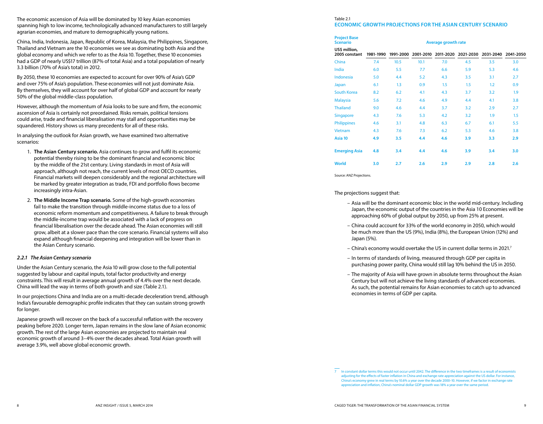The economic ascension of Asia will be dominated by 10 key Asian economies spanning high to low income, technologically advanced manufacturers to still largely agrarian economies, and mature to demographically young nations.

China, India, Indonesia, Japan, Republic of Korea, Malaysia, the Philippines, Singapore, Thailand and Vietnam are the 10 economies we see as dominating both Asia and the global economy and which we refer to as the Asia 10. Together, these 10 economies had a GDP of nearly US\$17 trillion (87% of total Asia) and a total population of nearly 3.3 billion (70% of Asia's total) in 2012.

By 2050, these 10 economies are expected to account for over 90% of Asia's GDP and over 75% of Asia's population. These economies will not just dominate Asia. By themselves, they will account for over half of global GDP and account for nearly 50% of the global middle-class population.

However, although the momentum of Asia looks to be sure and firm, the economic ascension of Asia is certainly not preordained. Risks remain, political tensions could arise, trade and financial liberalisation may stall and opportunities may be squandered. History shows us many precedents for all of these risks.

In analysing the outlook for Asian growth, we have examined two alternative scenarios:

- 1. **The Asian Century scenario.** Asia continues to grow and fulfil its economic potential thereby rising to be the dominant financial and economic bloc by the middle of the 21st century. Living standards in most of Asia will approach, although not reach, the current levels of most OECD countries. Financial markets will deepen considerably and the regional architecture will be marked by greater integration as trade, FDI and portfolio flows become increasingly intra-Asian.
- 2. **The Middle Income Trap scenario.** Some of the high-growth economies fail to make the transition through middle-income status due to a loss of economic reform momentum and competitiveness. A failure to break through the middle-income trap would be associated with a lack of progress on financial liberalisation over the decade ahead. The Asian economies will still grow, albeit at a slower pace than the core scenario. Financial systems will also expand although financial deepening and integration will be lower than in the Asian Century scenario.

#### *2.2.1 The Asian Century scenario*

Under the Asian Century scenario, the Asia 10 will grow close to the full potential suggested by labour and capital inputs, total factor productivity and energy constraints. This will result in average annual growth of 4.4% over the next decade. China will lead the way in terms of both growth and size (Table 2.1).

In our projections China and India are on a multi-decade deceleration trend, although India's favourable demographic profile indicates that they can sustain strong growth for longer.

Japanese growth will recover on the back of a successful reflation with the recovery peaking before 2020. Longer term, Japan remains in the slow lane of Asian economic growth. The rest of the large Asian economies are projected to maintain real economic growth of around 3–4% over the decades ahead. Total Asian growth will average 3.9%, well above global economic growth.

# Table 2.1 **ECONOMIC GROWTH PROJECTIONS FOR THE ASIAN CENTURY SCENARIO**

| <b>Project Base</b><br><b>Scenario</b> | <b>Average growth rate</b> |           |      |                     |           |           |           |
|----------------------------------------|----------------------------|-----------|------|---------------------|-----------|-----------|-----------|
| US\$ million,<br>2005 constant         | 1981-1990                  | 1991-2000 |      | 2001-2010 2011-2020 | 2021-2030 | 2031-2040 | 2041-2050 |
| China                                  | 7.4                        | 10.5      | 10.1 | 7.0                 | 4.5       | 3.5       | 3.0       |
| India                                  | 6.0                        | 5.5       | 7.7  | 6.6                 | 5.9       | 5.3       | 4.6       |
| Indonesia                              | 5.0                        | 4.4       | 5.2  | 4.3                 | 3.5       | 3.1       | 2.7       |
| Japan                                  | 6.1                        | 1.3       | 0.9  | 1.5                 | 1.5       | 1.2       | 0.9       |
| <b>South Korea</b>                     | 8.2                        | 6.2       | 4.1  | 4.3                 | 3.7       | 3.2       | 1.9       |
| <b>Malaysia</b>                        | 5.6                        | 7.2       | 4.6  | 4.9                 | 4.4       | 4.1       | 3.8       |
| <b>Thailand</b>                        | 9.0                        | 4.6       | 4.4  | 3.7                 | 3.2       | 2.9       | 2.7       |
| <b>Singapore</b>                       | 4.3                        | 7.6       | 5.3  | 4.2                 | 3.2       | 1.9       | 1.5       |
| <b>Philippines</b>                     | 4.6                        | 3.1       | 4.8  | 6.3                 | 6.7       | 6.1       | 5.5       |
| <b>Vietnam</b>                         | 4.3                        | 7.6       | 7.3  | 6.2                 | 5.3       | 4.6       | 3.8       |
| Asia 10                                | 4.9                        | 3.5       | 4.4  | 4.6                 | 3.9       | 3.3       | 2.9       |
| <b>Emerging Asia</b>                   | 4.8                        | 3.4       | 4.4  | 4.6                 | 3.9       | 3.4       | 3.0       |
| <b>World</b>                           | 3.0                        | 2.7       | 2.6  | 2.9                 | 2.9       | 2.8       | 2.6       |

Source: ANZ Projections.

# The projections suggest that:

- Asia will be the dominant economic bloc in the world mid-century. Including Japan, the economic output of the countries in the Asia 10 Economies will be approaching 60% of global output by 2050, up from 25% at present.
- China could account for 33% of the world economy in 2050, which would be much more than the US (9%), India (8%), the European Union (12%) and Japan (5%).
- China's economy would overtake the US in current dollar terms in 2021.<sup>7</sup>
- In terms of standards of living, measured through GDP per capita in purchasing power parity, China would still lag 10% behind the US in 2050.
- The majority of Asia will have grown in absolute terms throughout the Asian Century but will not achieve the living standards of advanced economies. As such, the potential remains for Asian economies to catch up to advanced economies in terms of GDP per capita.

<sup>7</sup> In constant dollar terms this would not occur until 2042. The difference in the two timeframes is a result of economists adjusting for the effects of faster inflation in China and exchange rate appreciation against the US dollar. For instance, China's economy grew in real terms by 10.6% a year over the decade 2000–10. However, if we factor in exchange rate appreciation and inflation, China's nominal dollar GDP growth was 18% a year over the same period.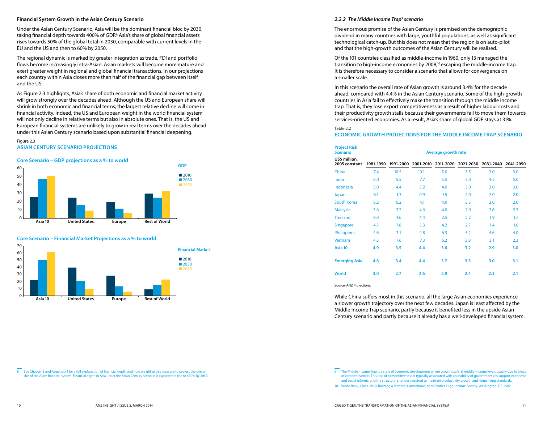#### **Financial System Growth in the Asian Century Scenario**

Under the Asian Century Scenario, Asia will be the dominant financial bloc by 2030, taking financial depth towards 400% of GDP.<sup>8</sup> Asia's share of global financial assets rises towards 50% of the global total in 2030, comparable with current levels in the EU and the US and then to 60% by 2050.

The regional dynamic is marked by greater integration as trade, FDI and portfolio flows become increasingly intra-Asian. Asian markets will become more mature and exert greater weight in regional and global financial transactions. In our projections each country within Asia closes more than half of the financial gap between itself and the US.

As Figure 2.3 highlights, Asia's share of both economic and financial market activity will grow strongly over the decades ahead. Although the US and European share will shrink in both economic and financial terms, the largest relative decline will come in financial activity. Indeed, the US and European weight in the world financial system will not only decline in relative terms but also in absolute ones. That is, the US and European financial systems are unlikely to grow in real terms over the decades ahead under this Asian Century scenario based upon substantial financial deepening.

#### Figure 2.3

#### **ASIAN CENTURY SCENARIO PROJECTIONS**





#### **Core Scenario – Financial Market Projections as a % to world**



*2.2.2 The Middle Income Trap9 scenario*

The enormous promise of the Asian Century is premised on the demographic dividend in many countries with large, youthful populations, as well as significant technological catch-up. But this does not mean that the region is on auto-pilot and that the high-growth outcomes of the Asian Century will be realised.

Of the 101 countries classified as middle-income in 1960, only 13 managed the transition to high-income economies by 2008,10 escaping the middle-income trap. It is therefore necessary to consider a scenario that allows for convergence on a smaller scale.

In this scenario the overall rate of Asian growth is around 3.4% for the decade ahead, compared with 4.4% in the Asian Century scenario. Some of the high-growth countries in Asia fail to effectively make the transition through the middle income trap. That is, they lose export competitiveness as a result of higher labour costs and their productivity growth stalls because their governments fail to move them towards services-oriented economies. As a result, Asia's share of global GDP stays at 31%.

# Table 2.2

#### **ECONOMIC GROWTH PROJECTIONS FOR THE MIDDLE INCOME TRAP SCENARIO**

| <b>Project Risk</b><br><b>Scenario</b> | <b>Average growth rate</b> |      |      |                               |     |                     |           |  |
|----------------------------------------|----------------------------|------|------|-------------------------------|-----|---------------------|-----------|--|
| US\$ million,<br>2005 constant         | 1981-1990                  |      |      | 1991-2000 2001-2010 2011-2020 |     | 2021-2030 2031-2040 | 2041-2050 |  |
| China                                  | 7.4                        | 10.5 | 10.1 | 5.0                           | 3.5 | 3.0                 | 3.0       |  |
| India                                  | 6.0                        | 5.5  | 7.7  | 5.5                           | 5.0 | 4.5                 | 5.0       |  |
| Indonesia                              | 5.0                        | 4.4  | 5.2  | 4.0                           | 3.0 | 3.0                 | 3.0       |  |
| Japan                                  | 6.1                        | 1.3  | 0.9  | 1.5                           | 2.0 | 2.0                 | 2.0       |  |
| <b>South Korea</b>                     | 8.2                        | 6.2  | 4.1  | 4.0                           | 3.5 | 3.0                 | 2.0       |  |
| <b>Malaysia</b>                        | 5.6                        | 7.2  | 4.6  | 4.0                           | 2.9 | 2.6                 | 2.3       |  |
| <b>Thailand</b>                        | 9.0                        | 4.6  | 4.4  | 3.5                           | 2.2 | 1.9                 | 1.7       |  |
| <b>Singapore</b>                       | 4.3                        | 7.6  | 5.3  | 4.2                           | 2.7 | 1.4                 | 1.0       |  |
| <b>Philippines</b>                     | 4.6                        | 3.1  | 4.8  | 6.3                           | 5.2 | 4.6                 | 4.0       |  |
| <b>Vietnam</b>                         | 4.3                        | 7.6  | 7.3  | 6.2                           | 3.8 | 3.1                 | 2.3       |  |
| Asia 10                                | 4.9                        | 3.5  | 4.4  | 3.6                           | 3.2 | 2.9                 | 3.0       |  |
| <b>Emerging Asia</b>                   | 4.8                        | 3.4  | 4.4  | 3.7                           | 3.3 | 3.0                 | 3.1       |  |
| <b>World</b>                           | 3.0                        | 2.7  | 2.6  | 2.9                           | 2.4 | 2.3                 | 2.1       |  |

Source: ANZ Projections.

While China suffers most in this scenario, all the large Asian economies experience a slower growth trajectory over the next few decades. Japan is least affected by the Middle Income Trap scenario, partly because it benefited less in the upside Asian Century scenario and partly because it already has a well-developed financial system.

8 See Chapter 3 and Appendix 1 for a full explanation of financial depth and how we utilise this measure to project the overall size of the Asian financial system. Financial depth in Asia under the Asian Century scenario is expected to rise to 550% by 2050. The Middle Income Trap is a state of economic development where growth stalls at middle-income levels usually due to a loss of competitiveness. This loss of competitiveness is typically associated with an inability of governments to support eco and social reforms, and the structural changes required to maintain productivity growth and rising living standards.

10 World Bank, China 2030: Building a Modern, Harmonious, and Creative High-Income Society, Washington, DC, 2012.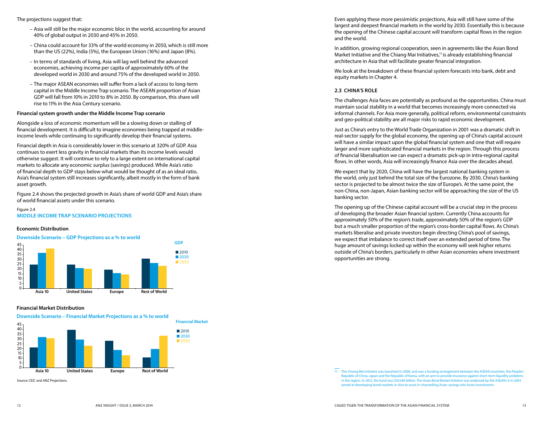# The projections suggest that:

- Asia will still be the major economic bloc in the world, accounting for around 40% of global output in 2030 and 45% in 2050.
- China could account for 33% of the world economy in 2050, which is still more than the US (22%), India (5%), the European Union (16%) and Japan (8%).
- In terms of standards of living, Asia will lag well behind the advanced economies, achieving income per capita of approximately 60% of the developed world in 2030 and around 75% of the developed world in 2050.
- The major ASEAN economies will suffer from a lack of access to long-term capital in the Middle Income Trap scenario. The ASEAN proportion of Asian GDP will fall from 10% in 2010 to 8% in 2050. By comparison, this share will rise to 11% in the Asia Century scenario.

# **Financial system growth under the Middle Income Trap scenario**

Alongside a loss of economic momentum will be a slowing down or stalling of financial development. It is difficult to imagine economies being trapped at middleincome levels while continuing to significantly develop their financial systems.

Financial depth in Asia is considerably lower in this scenario at 320% of GDP. Asia continues to exert less gravity in financial markets than its income levels would otherwise suggest. It will continue to rely to a large extent on international capital markets to allocate any economic surplus (savings) produced. While Asia's ratio of financial depth to GDP stays below what would be thought of as an ideal ratio, Asia's financial system still increases significantly, albeit mostly in the form of bank asset growth.

Figure 2.4 shows the projected growth in Asia's share of world GDP and Asia's share of world financial assets under this scenario.

# Figure 2.4

**MIDDLE INCOME TRAP SCENARIO PROJECTIONS**

# **Economic Distribution**

**Downside Scenario – GDP Projections as a % to world** 



# **Financial Market Distribution**

**Downside Scenario – Financial Market Projections as a % to world** 



Source: CEIC and ANZ Projections.

Even applying these more pessimistic projections, Asia will still have some of the largest and deepest financial markets in the world by 2030. Essentially this is because the opening of the Chinese capital account will transform capital flows in the region and the world.

In addition, growing regional cooperation, seen in agreements like the Asian Bond Market Initiative and the Chiang Mai Initiatives, $11$  is already establishing financial architecture in Asia that will facilitate greater financial integration.

We look at the breakdown of these financial system forecasts into bank, debt and equity markets in Chapter 4.

# **2.3 CHINA'S ROLE**

The challenges Asia faces are potentially as profound as the opportunities. China must maintain social stability in a world that becomes increasingly more connected via informal channels. For Asia more generally, political reform, environmental constraints and geo-political stability are all major risks to rapid economic development.

Just as China's entry to the World Trade Organization in 2001 was a dramatic shift in real-sector supply for the global economy, the opening up of China's capital account will have a similar impact upon the global financial system and one that will require larger and more sophisticated financial markets in the region. Through this process of financial liberalisation we can expect a dramatic pick-up in intra-regional capital flows. In other words, Asia will increasingly finance Asia over the decades ahead.

We expect that by 2020, China will have the largest national banking system in the world, only just behind the total size of the Eurozone. By 2030, China's banking sector is projected to be almost twice the size of Europe's. At the same point, the non-China, non-Japan, Asian banking sector will be approaching the size of the US banking sector.

The opening up of the Chinese capital account will be a crucial step in the process of developing the broader Asian financial system. Currently China accounts for approximately 50% of the region's trade, approximately 50% of the region's GDP but a much smaller proportion of the region's cross-border capital flows. As China's markets liberalise and private investors begin directing China's pool of savings, we expect that imbalance to correct itself over an extended period of time. The huge amount of savings locked up within the economy will seek higher returns outside of China's borders, particularly in other Asian economies where investment opportunities are strong.

11 The *Chiang Mai Initiative* was launched in 2000, and was a funding arrangement between the ASEAN countries, the People's Republic of China, Japan and the Republic of Korea, with an aim to provide insurance against short-term liquidity pro in the region. In 2012, the fund was US\$240 billion. The *Asian Bond Market Initiative* was endorsed by the ASEAN+3 in 2003 aimed at developing bond markets in Asia to assist in channelling Asian savings into Asian investments.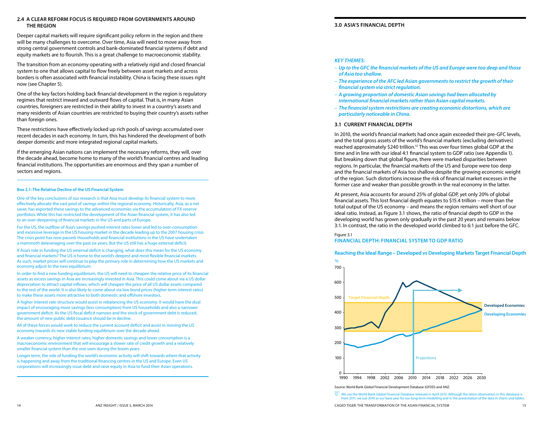# **2 . 4 A CLEAR REFORM FOCUS IS REQUIRED FROM GOVERNMENTS AROUND THE REGION**

Deeper capital markets will require significant policy reform in the region and there will be many challenges to overcome. Over time, Asia will need to move away from strong central government controls and bank-dominated financial systems if debt and equity markets are to flourish. This is a great challenge to macroeconomic stability.

The transition from an economy operating with a relatively rigid and closed financial system to one that allows capital to flow freely between asset markets and across borders is often associated with financial instability. China is facing these issues right now (see Chapter 5).

One of the key factors holding back financial development in the region is regulatory regimes that restrict inward and outward flows of capital. That is, in many Asian countries, foreigners are restricted in their ability to invest in a country's assets and many residents of Asian countries are restricted to buying their country's assets rather than foreign ones.

These restrictions have effectively locked up rich pools of savings accumulated over recent decades in each economy. In turn, this has hindered the development of both deeper domestic and more integrated regional capital markets.

If the emerging Asian nations can implement the necessary reforms, they will, over the decade ahead, become home to many of the world's financial centres and leading financial institutions. The opportunities are enormous and they span a number of sectors and regions.

#### **Box 2.1: The Relative Decline of the US Financial System**

One of the key conclusions of our research is that Asia must develop its financial system to more effectively allocate the vast pool of savings within the regional economy. Historically, Asia, as a net saver, has exported these savings to the advanced economies via the accumulation of FX reserve portfolios. While this has restricted the development of the Asian financial system, it has also led to an over-deepening of financial markets in the US and parts of Europe.

For the US, the outflow of Asia's savings pushed interest rates lower and led to over-consumption and excessive leverage in the US housing market in the decade leading up to the 2007 housing crisis. The crisis point has now passed. Households and financial institutions in the US have undertaken a mammoth deleveraging over the past six years. But the US still has a huge external deficit.

If Asia's role in funding the US external deficit is changing, what does this mean for the US economy and financial markets? The US is home to the world's deepest and most flexible financial markets. As such, market prices will continue to play the primary role in determining how the US markets and economy adjust to the new equilibrium.

In order to find a new funding equilibrium, the US will need to cheapen the relative price of its financial assets as excess savings in Asia are increasingly invested in Asia. This could come about via a US dollar depreciation to attract capital inflows, which will cheapen the price of all US dollar assets compared to the rest of the world. It is also likely to come about via low bond prices (higher term interest rates) to make these assets more attractive to both domestic and offshore investors.

A higher interest rate structure would assist in rebalancing the US economy. It would have the dual impact of encouraging more savings (less consumption) from US households and also a narrower government deficit. As the US fiscal deficit narrows and the stock of government debt is reduced, the amount of new public debt issuance should be in decline.

All of these forces would work to reduce the current account deficit and assist in moving the US economy towards its new stable funding equilibrium over the decade ahead.

A weaker currency, higher interest rates, higher domestic savings and lower consumption is a macroeconomic environment that will encourage a slower rate of credit growth and a relatively smaller financial system than the one seen during the boom years.

Longer term, the role of funding the world's economic activity will shift towards where that activity is happening and away from the traditional financing centres in the US and Europe. Even US corporations will increasingly issue debt and raise equity in Asia to fund their Asian operations.

# **3.0 ASIA'S FINANCIAL DEPTH**

# *KEY THEMES:*

- *Up to the GFC the financial markets of the US and Europe were too deep and those of Asia too shallow.*
- *The experience of the AFC led Asian governments to restrict the growth of their financial system via strict regulation.*
- *A growing proportion of domestic Asian savings had been allocated by international financial markets rather than Asian capital markets.*
- *The financial system restrictions are creating economic distortions, which are particularly noticeable in China.*

#### **3 . 1 CURRENT FINANCIAL DEPTH**

In 2010, the world's financial markets had once again exceeded their pre-GFC levels, and the total gross assets of the world's financial markets (excluding derivatives) reached approximately \$240 trillion.12 This was over four times global GDP at the time and in line with our ideal 4:1 financial system to GDP ratio (see Appendix 1). But breaking down that global figure, there were marked disparities between regions. In particular, the financial markets of the US and Europe were too deep and the financial markets of Asia too shallow despite the growing economic weight of the region. Such distortions increase the risk of financial market excesses in the former case and weaker than possible growth in the real economy in the latter.

At present, Asia accounts for around 25% of global GDP, yet only 20% of global financial assets. This lost financial depth equates to \$15.4 trillion – more than the total output of the US economy – and means the region remains well short of our ideal ratio. Instead, as Figure 3.1 shows, the ratio of financial depth to GDP in the developing world has grown only gradually in the past 20 years and remains below 3:1. In contrast, the ratio in the developed world climbed to 6:1 just before the GFC.

Figure 3.1 **FINANCIAL DEPTH: FINANCIAL SYSTEM TO GDP RATIO** 

**Reaching the Ideal Range – Developed vs Developing Markets Target Financial Depth**



Source: World Bank Global Financial Development Database (GFDD) and ANZ.

12 We use the World Bank Global Financial Database released in April 2013. Although the latest observation in this database is from 2011, we use 2010 as our base year for our long-term modelling and in the presentation of the data in charts and tables.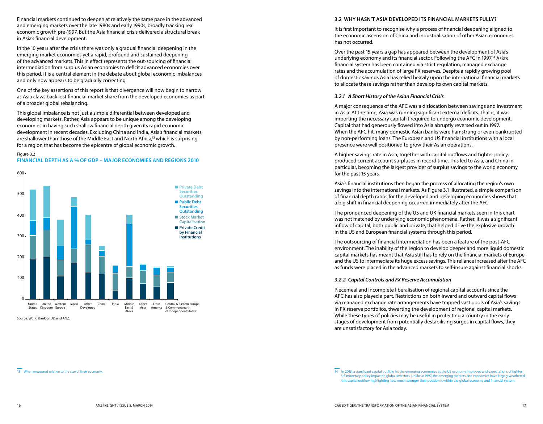Financial markets continued to deepen at relatively the same pace in the advanced and emerging markets over the late 1980s and early 1990s, broadly tracking real economic growth pre-1997. But the Asia financial crisis delivered a structural break in Asia's financial development.

In the 10 years after the crisis there was only a gradual financial deepening in the emerging market economies yet a rapid, profound and sustained deepening of the advanced markets. This in effect represents the out-sourcing of financial intermediation from surplus Asian economies to deficit advanced economies over this period. It is a central element in the debate about global economic imbalances and only now appears to be gradually correcting.

One of the key assertions of this report is that divergence will now begin to narrow as Asia claws back lost financial market share from the developed economies as part of a broader global rebalancing.

This global imbalance is not just a simple differential between developed and developing markets. Rather, Asia appears to be unique among the developing economies in having such shallow financial depth given its rapid economic development in recent decades. Excluding China and India, Asia's financial markets are shallower than those of the Middle East and North Africa,<sup>13</sup> which is surprising for a region that has become the epicentre of global economic growth.

#### Figure 3.2

**FINANCIAL DEPTH AS A % OF GDP – MAJOR ECONOMIES AND REGIONS 2010**



Source: World Bank GFDD and ANZ.

#### **3.2 WHY HASN'T ASIA DEVELOPED ITS FINANCIAL MARKETS FULLY?**

It is first important to recognise why a process of financial deepening aligned to the economic ascension of China and industrialisation of other Asian economies has not occurred.

Over the past 15 years a gap has appeared between the development of Asia's underlying economy and its financial sector. Following the AFC in 1997,<sup>14</sup> Asia's financial system has been contained via strict regulation, managed exchange rates and the accumulation of large FX reserves. Despite a rapidly growing pool of domestic savings Asia has relied heavily upon the international financial markets to allocate these savings rather than develop its own capital markets.

#### *3.2.1 A Short History of the Asian Financial Crisis*

A major consequence of the AFC was a dislocation between savings and investment in Asia. At the time, Asia was running significant external deficits. That is, it was importing the necessary capital it required to undergo economic development. Capital that had generously flowed into Asia abruptly reversed out in 1997. When the AFC hit, many domestic Asian banks were hamstrung or even bankrupted by non-performing loans. The European and US financial institutions with a local presence were well positioned to grow their Asian operations.

A higher savings rate in Asia, together with capital outflows and tighter policy, produced current account surpluses in record time. This led to Asia, and China in particular, becoming the largest provider of surplus savings to the world economy for the past 15 years.

Asia's financial institutions then began the process of allocating the region's own savings into the international markets. As Figure 3.1 illustrated, a simple comparison of financial depth ratios for the developed and developing economies shows that a big shift in financial deepening occurred immediately after the AFC.

The pronounced deepening of the US and UK financial markets seen in this chart was not matched by underlying economic phenomena. Rather, it was a significant inflow of capital, both public and private, that helped drive the explosive growth in the US and European financial systems through this period.

The outsourcing of financial intermediation has been a feature of the post-AFC environment. The inability of the region to develop deeper and more liquid domestic capital markets has meant that Asia still has to rely on the financial markets of Europe and the US to intermediate its huge excess savings. This reliance increased after the AFC as funds were placed in the advanced markets to self-insure against financial shocks.

# *3.2.2 Capital Controls and FX Reserve Accumulation*

Piecemeal and incomplete liberalisation of regional capital accounts since the AFC has also played a part. Restrictions on both inward and outward capital flows via managed exchange rate arrangements have trapped vast pools of Asia's savings in FX reserve portfolios, thwarting the development of regional capital markets. While these types of policies may be useful in protecting a country in the early stages of development from potentially destabilising surges in capital flows, they are unsatisfactory for Asia today.

13 When measured relative to the size of their econom

<sup>14</sup> In 2013, a significant capital outflow hit the emerging economies as the US economy improved and expectations of tighter US monetary policy impacted global investors. Unlike in 1997, the emerging markets and economies have largely weather this capital outflow highlighting how much stronger their position is within the global economy and financial syste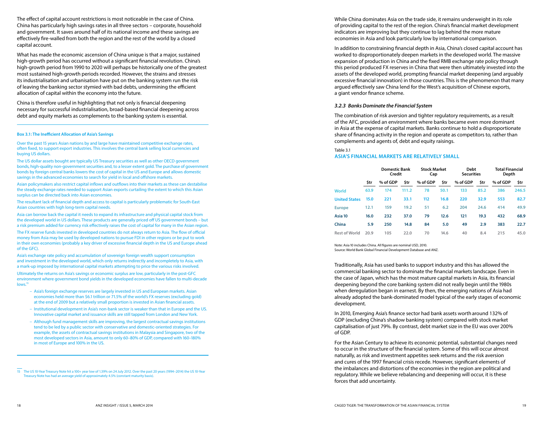The effect of capital account restrictions is most noticeable in the case of China. China has particularly high savings rates in all three sectors – corporate, household and government. It saves around half of its national income and these savings are effectively fire-walled from both the region and the rest of the world by a closed capital account.

What has made the economic ascension of China unique is that a major, sustained high-growth period has occurred without a significant financial revolution. China's high-growth period from 1990 to 2020 will perhaps be historically one of the greatest most sustained high-growth periods recorded. However, the strains and stresses its industrialisation and urbanisation have put on the banking system run the risk of leaving the banking sector stymied with bad debts, undermining the efficient allocation of capital within the economy into the future.

China is therefore useful in highlighting that not only is financial deepening necessary for successful industrialisation, broad-based financial deepening across debt and equity markets as complements to the banking system is essential.

#### **Box 3.1: The Inefficient Allocation of Asia's Savings**

Over the past 15 years Asian nations by and large have maintained competitive exchange rates, often fixed, to support export industries. This involves the central bank selling local currencies and buying US dollars.

The US dollar assets bought are typically US Treasury securities as well as other OECD government bonds, high-quality non-government securities and, to a lesser extent gold. The purchase of government bonds by foreign central banks lowers the cost of capital in the US and Europe and allows domestic savings in the advanced economies to search for yield in local and offshore markets.

Asian policymakers also restrict capital inflows and outflows into their markets as these can destabilise the steady exchange rates needed to support Asian exports curtailing the extent to which this Asian surplus can be directed back into Asian economies.

The resultant lack of financial depth and access to capital is particularly problematic for South-East Asian countries with high long-term capital needs.

Asia can borrow back the capital it needs to expand its infrastructure and physical capital stock from the developed world in US dollars. These products are generally priced off US government bonds – but a risk premium added for currency risk effectively raises the cost of capital for many in the Asian region.

The FX reserve funds invested in developed countries do not always return to Asia. The flow of official money from Asia may be used by developed nations to pursue FDI in other regions or be put to work in their own economies (probably a key driver of excessive financial depth in the US and Europe ahead of the GFC).

Asia's exchange rate policy and accumulation of sovereign foreign wealth support consumption and investment in the developed world, which only returns indirectly and incompletely to Asia, with a mark-up imposed by international capital markets attempting to price the various risks involved.

Ultimately the returns on Asia's savings or economic surplus are low, particularly in the post-GFC environment where government bond yields in the developed economies have fallen to multi-decade lows.<sup>15</sup>

- Asia's foreign exchange reserves are largely invested in US and European markets. Asian economies held more than \$6.1 trillion or 71.5% of the world's FX reserves (excluding gold) at the end of 2009 but a relatively small proportion is invested in Asian financial assets.
- Institutional development in Asia's non-bank sector is weaker than that in Europe and the US. Innovative capital market and issuance skills are still tapped from London and New York.
- Although fund management skills are improving, the largest contractual savings institutions tend to be led by a public sector with conservative and domestic-oriented strategies. For example, the assets of contractual savings institutions in Malaysia and Singapore, two of the most developed sectors in Asia, amount to only 60–80% of GDP, compared with 160–180% in most of Europe and 100% in the US.

15 The US 10-Year Treasury Note hit a 100+ year low of 1.39% on 24 July 2012. Over the past 20 years (1994–2014) the US 10-Year Treasury Note has had an average yield of approximately 4.5% (constant maturity basis).

While China dominates Asia on the trade side, it remains underweight in its role of providing capital to the rest of the region. China's financial market development indicators are improving but they continue to lag behind the more mature economies in Asia and look particularly low by international comparison.

In addition to constraining financial depth in Asia, China's closed capital account has worked to disproportionately deepen markets in the developed world. The massive expansion of production in China and the fixed RMB exchange rate policy through this period produced FX reserves in China that were then ultimately invested into the assets of the developed world, prompting financial market deepening (and arguably excessive financial innovation) in those countries. This is the phenomenon that many argued effectively saw China lend for the West's acquisition of Chinese exports, a giant vendor finance scheme.

#### *3.2.3 Banks Dominate the Financial System*

The combination of risk aversion and tighter regulatory requirements, as a result of the AFC, provided an environment where banks became even more dominant in Asia at the expense of capital markets. Banks continue to hold a disproportionate share of financing activity in the region and operate as competitors to, rather than complements and agents of, debt and equity raisings.

# Table 3.1

#### **ASIA'S FINANCIAL MARKETS ARE RELATIVELY SMALL**

|                      |      | <b>Domestic Bank</b><br>Credit |       | <b>Stock Market</b><br>Cap |      | Debt<br><b>Securities</b> |      | <b>Total Financial</b><br>Depth |       |
|----------------------|------|--------------------------------|-------|----------------------------|------|---------------------------|------|---------------------------------|-------|
|                      | \$tr | % of GDP                       | \$tr  | % of GDP                   | \$tr | % of GDP                  | \$tr | % of GDP                        | \$tr  |
| World                | 63.9 | 174                            | 111.2 | 78                         | 50.1 | 133                       | 85.2 | 386                             | 246.5 |
| <b>United States</b> | 15.0 | 221                            | 33.1  | 112                        | 16.8 | 220                       | 32.9 | 553                             | 82.7  |
| <b>Europe</b>        | 12.1 | 159                            | 19.2  | 51                         | 6.2  | 204                       | 24.6 | 414                             | 49.9  |
| Asia 10              | 16.0 | 232                            | 37.0  | 79                         | 12.6 | 121                       | 19.3 | 432                             | 68.9  |
| China                | 5.9  | 250                            | 14.8  | 84                         | 5.0  | 49                        | 2.9  | 383                             | 22.7  |
| Rest of World        | 20.9 | 105                            | 22.0  | 70                         | 14.6 | 40                        | 8.4  | 215                             | 45.0  |

Note: Asia 10 includes China. All figures are nominal USD, 2010.

Source: World Bank Global Financial Development Database and ANZ.

Traditionally, Asia has used banks to support industry and this has allowed the commercial banking sector to dominate the financial markets landscape. Even in the case of Japan, which has the most mature capital markets in Asia, its financial deepening beyond the core banking system did not really begin until the 1980s when deregulation began in earnest. By then, the emerging nations of Asia had already adopted the bank-dominated model typical of the early stages of economic development.

In 2010, Emerging Asia's finance sector had bank assets worth around 132% of GDP (excluding China's shadow banking system) compared with stock market capitalisation of just 79%. By contrast, debt market size in the EU was over 200% of GDP.

For the Asian Century to achieve its economic potential, substantial changes need to occur in the structure of the financial system. Some of this will occur almost naturally, as risk and investment appetites seek returns and the risk aversion and cures of the 1997 financial crisis recede. However, significant elements of the imbalances and distortions of the economies in the region are political and regulatory. While we believe rebalancing and deepening will occur, it is these forces that add uncertainty.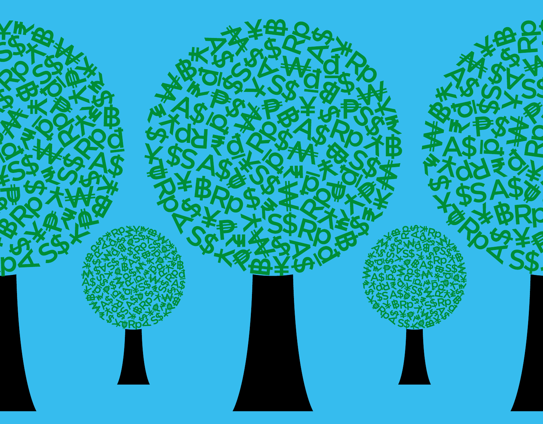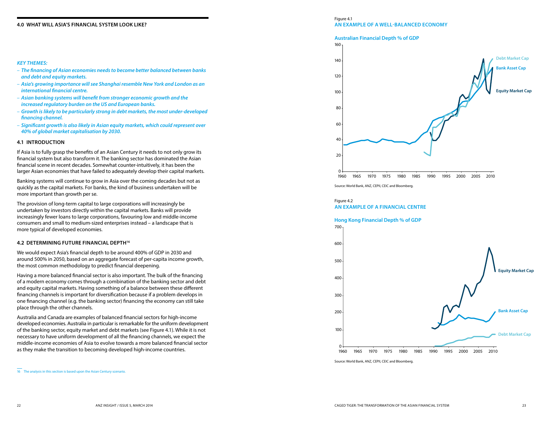# **4.0 WHAT WILL ASIA'S FINANCIAL SYSTEM LOOK LIKE?**

#### *KEY THEMES:*

- *The financing of Asian economies needs to become better balanced between banks and debt and equity markets.*
- *Asia's growing importance will see Shanghai resemble New York and London as an international financial centre.*
- *Asian banking systems will benefit from stronger economic growth and the increased regulatory burden on the US and European banks.*
- *Growth is likely to be particularly strong in debt markets, the most under-developed financing channel.*
- *Significant growth is also likely in Asian equity markets, which could represent over 40% of global market capitalisation by 2030.*

# **4.1 INTRODUCTION**

If Asia is to fully grasp the benefits of an Asian Century it needs to not only grow its financial system but also transform it. The banking sector has dominated the Asian financial scene in recent decades. Somewhat counter-intuitively, it has been the larger Asian economies that have failed to adequately develop their capital markets.

Banking systems will continue to grow in Asia over the coming decades but not as quickly as the capital markets. For banks, the kind of business undertaken will be more important than growth per se.

The provision of long-term capital to large corporations will increasingly be undertaken by investors directly within the capital markets. Banks will provide increasingly fewer loans to large corporations, favouring low and middle-income consumers and small to medium-sized enterprises instead – a landscape that is more typical of developed economies.

# **4.2 DETERMINING FUTURE FINANCIAL DEPTH16**

We would expect Asia's financial depth to be around 400% of GDP in 2030 and around 500% in 2050, based on an aggregate forecast of per-capita income growth, the most common methodology to predict financial deepening.

Having a more balanced financial sector is also important. The bulk of the financing of a modern economy comes through a combination of the banking sector and debt and equity capital markets. Having something of a balance between these different financing channels is important for diversification because if a problem develops in one financing channel (e.g. the banking sector) financing the economy can still take place through the other channels.

Australia and Canada are examples of balanced financial sectors for high-income developed economies. Australia in particular is remarkable for the uniform development of the banking sector, equity market and debt markets (see Figure 4.1). While it is not necessary to have uniform development of all the financing channels, we expect the middle-income economies of Asia to evolve towards a more balanced financial sector as they make the transition to becoming developed high-income countries.

16 The analysis in this section is based upon the Asian Century scenario.

# Figure 4.1 **AN EXAMPLE OF A WELL-BALANCED ECONOMY**



Source: World Bank, ANZ, CEPII, CEIC and Bloomberg.

# Figure 4.2 **AN EXAMPLE OF A FINANCIAL CENTRE**





Source: World Bank, ANZ, CEPII, CEIC and Bloomberg.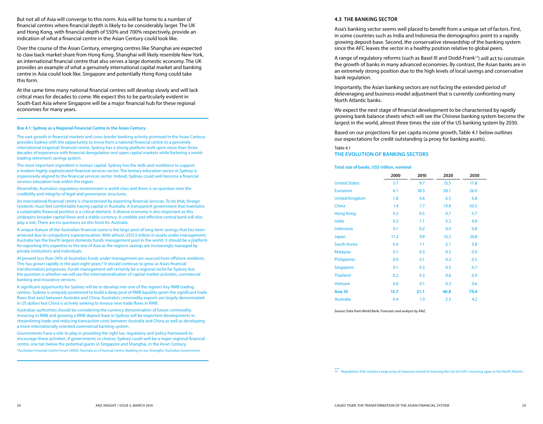But not all of Asia will converge to this norm. Asia will be home to a number of financial centres where financial depth is likely to be considerably larger. The UK and Hong Kong, with financial depth of 550% and 700% respectively, provide an indication of what a financial centre in the Asian Century could look like.

Over the course of the Asian Century, emerging centres like Shanghai are expected to claw back market share from Hong Kong. Shanghai will likely resemble New York, an international financial centre that also serves a large domestic economy. The UK provides an example of what a genuinely international capital market and banking centre in Asia could look like. Singapore and potentially Hong Kong could take this form.

At the same time many national financial centres will develop slowly and will lack critical mass for decades to come. We expect this to be particularly evident in South-East Asia where Singapore will be a major financial hub for these regional economies for many years.

#### **Box 4.1: Sydney as a Regional Financial Centre in the Asian Century**

The vast growth in financial markets and cross-border banking activity promised in the Asian Century provides Sydney with the opportunity to move from a national financial centre to a genuinely international (regional) financial centre. Sydney has a strong platform built upon more than three decades of experience with financial deregulation and open capital markets while fostering a worldleading retirement savings system.

The most important ingredient is human capital. Sydney has the skills and workforce to support a modern highly sophisticated financial services sector. The tertiary education sector in Sydney is impressively aligned to the financial services sector. Indeed, Sydney could well become a financial services education hub within the region.

Meanwhile, Australia's regulatory environment is world class and there is no question over the credibility and integrity of legal and governance structures.

An international financial centre is characterised by exporting financial services. To do that, foreign residents must feel comfortable having capital in Australia. A transparent government that maintains a sustainable financial position is a critical element. A diverse economy is also important as this underpins broader capital flows and a stable currency. A credible and effective central bank will also play a role. There are no questions on this front for Australia.

A unique feature of the Australian financial scene is the large pool of long-term savings that has been amassed due to compulsory superannuation. With almost US\$1.5 trillion in assets under management, Australia has the fourth largest domestic funds management pool in the world. It should be a platform for exporting this expertise to the rest of Asia as the region's savings are increasingly managed by private institutions and individuals.

At present less than 20% of Australia's funds under management are sourced from offshore residents. This has grown rapidly in the past eight years.\* It should continue to grow as Asia's financial transformation progresses. Funds management will certainly be a regional niche for Sydney but the question is whether we will see the internationalisation of capital market activities, commercial banking and insurance services.

A significant opportunity for Sydney will be to develop into one of the region's key RMB trading centres. Sydney is uniquely positioned to build a deep pool of RMB liquidity given the significant trade flows that exist between Australia and China. Australia's commodity exports are largely denominated in US dollars but China is actively seeking to invoice new trade flows in RMB.

Australian authorities should be considering the currency denomination of future commodity. Invoicing in RMB and growing a RMB deposit base in Sydney will be important developments in streamlining trade and reducing transaction costs between Australia and China as well as developing a more internationally oriented commercial banking system.

Governments have a role to play in providing the right tax, regulatory and policy framework to encourage these activities. If governments so choose, Sydney could well be a major regional financial centre, one tier below the potential giants in Singapore and Shanghai, in the Asian Century. \*Australian Financial Centre Forum (2009), 'Australia as a Financial Centre, Building on our Strengths.' Australian Government.

#### **4.3 THE BANKING SECTOR**

Asia's banking sector seems well placed to benefit from a unique set of factors. First, in some countries such as India and Indonesia the demographics point to a rapidly growing deposit base. Second, the conservative stewardship of the banking system since the AFC leaves the sector in a healthy position relative to global peers.

A range of regulatory reforms (such as Basel III and Dodd-Frank17) will act to constrain the growth of banks in many advanced economies. By contrast, the Asian banks are in an extremely strong position due to the high levels of local savings and conservative bank regulation.

Importantly, the Asian banking sectors are not facing the extended period of deleveraging and business-model adjustment that is currently confronting many North Atlantic banks.

We expect the next stage of financial development to be characterised by rapidly growing bank balance sheets which will see the Chinese banking system become the largest in the world, almost three times the size of the US banking system by 2030.

Based on our projections for per capita income growth, Table 4.1 below outlines our expectations for credit outstanding (a proxy for banking assets).

#### Table 4.1 **THE EVOLUTION OF BANKING SECTORS**

#### **Total size of banks, US\$ trillion, nominal**

|                       | 2000 | 2010 | 2020 | 2030 |
|-----------------------|------|------|------|------|
| <b>United States</b>  | 5.7  | 9.7  | 13.3 | 17.8 |
| Eurozone              | 6.1  | 18.3 | 28.1 | 26.0 |
| <b>United Kingdom</b> | 1.8  | 4.6  | 6.5  | 6.8  |
| China                 | 1.4  | 7.7  | 19.8 | 43.5 |
| <b>Hong Kong</b>      | 0.3  | 0.5  | 0.7  | 0.7  |
| India                 | 0.2  | 1.1  | 3.2  | 6.9  |
| Indonesia             | 0.1  | 0.2  | 0.4  | 0.8  |
| Japan                 | 11.2 | 9.9  | 13.2 | 20.8 |
| <b>South Korea</b>    | 0.4  | 1.1  | 2.1  | 3.8  |
| <b>Malaysia</b>       | 0.1  | 0.3  | 0.5  | 0.9  |
| Philippines           | 0.0  | 0.1  | 0.2  | 0.5  |
| <b>Singapore</b>      | 0.1  | 0.3  | 0.5  | 0.7  |
| <b>Thailand</b>       | 0.2  | 0.3  | 0.6  | 0.9  |
| <b>Vietnam</b>        | 0.0  | 0.1  | 0.3  | 0.6  |
| Asia 10               | 13.7 | 21.1 | 40.8 | 79.4 |
| <b>Australia</b>      | 0.4  | 1.3  | 2.5  | 4.2  |

Source: Data from World Bank. Forecasts and analysis by ANZ.

17 Regulations that contain a large array of measures aimed at reducing the risk of a GFC occurring again in the North Atlantic.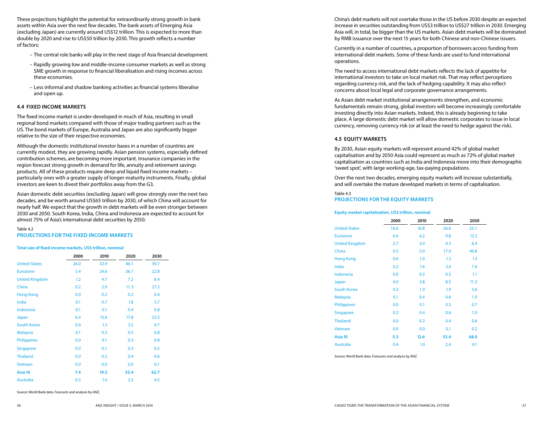These projections highlight the potential for extraordinarily strong growth in bank assets within Asia over the next few decades. The bank assets of Emerging Asia (excluding Japan) are currently around US\$12 trillion. This is expected to more than double by 2020 and rise to US\$50 trillion by 2030. This growth reflects a number of factors:

- The central role banks will play in the next stage of Asia financial development.
- Rapidly growing low and middle-income consumer markets as well as strong SME growth in response to financial liberalisation and rising incomes across these economies.
- Less informal and shadow banking activities as financial systems liberalise and open up.

# **4 . 4 FIXED INCOME MARKETS**

The fixed income market is under-developed in much of Asia, resulting in small regional bond markets compared with those of major trading partners such as the US. The bond markets of Europe, Australia and Japan are also significantly bigger relative to the size of their respective economies.

Although the domestic institutional investor bases in a number of countries are currently modest, they are growing rapidly. Asian pension systems, especially defined contribution schemes, are becoming more important. Insurance companies in the region forecast strong growth in demand for life, annuity and retirement savings products. All of these products require deep and liquid fixed income markets – particularly ones with a greater supply of longer-maturity instruments. Finally, global investors are keen to divest their portfolios away from the G3.

Asian domestic debt securities (excluding Japan) will grow strongly over the next two decades, and be worth around US\$65 trillion by 2030, of which China will account for nearly half. We expect that the growth in debt markets will be even stronger between 2030 and 2050. South Korea, India, China and Indonesia are expected to account for almost 75% of Asia's international debt securities by 2050.

#### Table 4.2 **PROJECTIONS FOR THE FIXED INCOME MARKETS**

#### **Total size of fixed income markets, US\$ trillion, nominal**

|                       | 2000 | 2010 | 2020 | 2030 |
|-----------------------|------|------|------|------|
| <b>United States</b>  | 26.0 | 32.9 | 46.1 | 39.7 |
| Eurozone              | 5.4  | 24.6 | 26.7 | 22.8 |
| <b>United Kingdom</b> | 1.2  | 4.7  | 7.2  | 6.4  |
| China                 | 0.2  | 2.9  | 11.3 | 27.2 |
| <b>Hong Kong</b>      | 0.0  | 0.2  | 0.2  | 0.4  |
| India                 | 0.1  | 0.7  | 1.8  | 5.7  |
| Indonesia             | 0.1  | 0.1  | 0.4  | 0.8  |
| Japan                 | 6.4  | 13.6 | 17.8 | 22.5 |
| <b>South Korea</b>    | 0.4  | 1.3  | 2.5  | 4.7  |
| <b>Malaysia</b>       | 0.1  | 0.3  | 0.5  | 0.8  |
| <b>Philippines</b>    | 0.0  | 0.1  | 0.3  | 0.8  |
| <b>Singapore</b>      | 0.0  | 0.1  | 0.3  | 0.5  |
| <b>Thailand</b>       | 0.0  | 0.2  | 0.4  | 0.6  |
| <b>Vietnam</b>        | 0.0  | 0.0  | 0.0  | 0.1  |
| Asia 10               | 7.4  | 19.3 | 35.4 | 63.7 |
| <b>Australia</b>      | 0.3  | 1.0  | 2.5  | 4.5  |

Source: World Bank data. Forecasts and analysis by ANZ.

China's debt markets will not overtake those in the US before 2030 despite an expected increase in securities outstanding from US\$3 trillion to US\$27 trillion in 2030. Emerging Asia will, in total, be bigger than the US markets. Asian debt markets will be dominated by RMB issuance over the next 15 years for both Chinese and non-Chinese issuers.

Currently in a number of countries, a proportion of borrowers access funding from international debt markets. Some of these funds are used to fund international operations.

The need to access international debt markets reflects the lack of appetite for international investors to take on local market risk. That may reflect perceptions regarding currency risk, and the lack of hedging capability. It may also reflect concerns about local legal and corporate governance arrangements.

As Asian debt market institutional arrangements strengthen, and economic fundamentals remain strong, global investors will become increasingly comfortable investing directly into Asian markets. Indeed, this is already beginning to take place. A large domestic debt market will allow domestic corporates to issue in local currency, removing currency risk (or at least the need to hedge against the risk).

# **4.5 EQUITY MARKETS**

By 2030, Asian equity markets will represent around 42% of global market capitalisation and by 2050 Asia could represent as much as 72% of global market capitalisation as countries such as India and Indonesia move into their demographic 'sweet spot', with large working-age, tax-paying populations.

Over the next two decades, emerging equity markets will increase substantially, and will overtake the mature developed markets in terms of capitalisation.

# Table 4.3 **PROJECTIONS FOR THE EQUITY MARKETS**

#### **Equity market capitalisation, US\$ trillion, nominal**

|                       | 2000 | 2010 | 2020 | 2030 |
|-----------------------|------|------|------|------|
| <b>United States</b>  | 16.6 | 16.8 | 26.6 | 25.1 |
| Eurozone              | 6.4  | 6.2  | 9.8  | 12.2 |
| <b>United Kingdom</b> | 2.7  | 3.0  | 4.3  | 6.4  |
| China                 | 0.5  | 5.0  | 17.0 | 40.8 |
| <b>Hong Kong</b>      | 0.6  | 1.0  | 1.3  | 1.3  |
| India                 | 0.2  | 1.4  | 3.4  | 7.6  |
| Indonesia             | 0.0  | 0.3  | 0.5  | 1.1  |
| Japan                 | 4.0  | 3.8  | 8.5  | 11.3 |
| <b>South Korea</b>    | 0.3  | 1.0  | 1.9  | 3.6  |
| <b>Malaysia</b>       | 0.1  | 0.4  | 0.6  | 1.0  |
| <b>Philippines</b>    | 0.0  | 0.1  | 0.3  | 0.7  |
| <b>Singapore</b>      | 0.2  | 0.4  | 0.6  | 1.0  |
| <b>Thailand</b>       | 0.0  | 0.2  | 0.4  | 0.6  |
| <b>Vietnam</b>        | 0.0  | 0.0  | 0.1  | 0.2  |
| Asia 10               | 5.3  | 12.6 | 33.4 | 68.0 |
| <b>Australia</b>      | 0.4  | 1.0  | 2.4  | 4.1  |

Source: World Bank data. Forecasts and analysis by ANZ.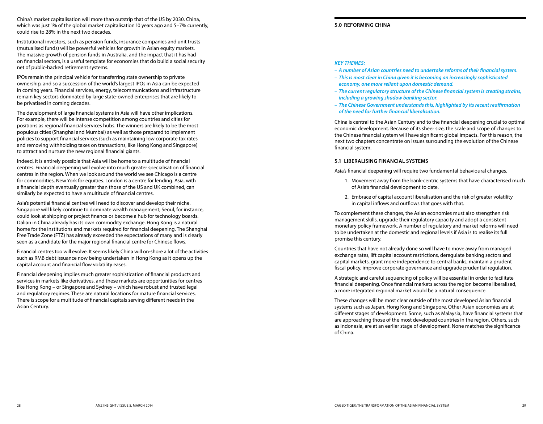China's market capitalisation will more than outstrip that of the US by 2030. China, which was just 1% of the global market capitalisation 10 years ago and 5–7% currently, could rise to 28% in the next two decades.

Institutional investors, such as pension funds, insurance companies and unit trusts (mutualised funds) will be powerful vehicles for growth in Asian equity markets. The massive growth of pension funds in Australia, and the impact that it has had on financial sectors, is a useful template for economies that do build a social security net of public-backed retirement systems.

IPOs remain the principal vehicle for transferring state ownership to private ownership, and so a succession of the world's largest IPOs in Asia can be expected in coming years. Financial services, energy, telecommunications and infrastructure remain key sectors dominated by large state-owned enterprises that are likely to be privatised in coming decades.

The development of large financial systems in Asia will have other implications. For example, there will be intense competition among countries and cities for positions as regional financial services hubs. The winners are likely to be the most populous cities (Shanghai and Mumbai) as well as those prepared to implement policies to support financial services (such as maintaining low corporate tax rates and removing withholding taxes on transactions, like Hong Kong and Singapore) to attract and nurture the new regional financial giants.

Indeed, it is entirely possible that Asia will be home to a multitude of financial centres. Financial deepening will evolve into much greater specialisation of financial centres in the region. When we look around the world we see Chicago is a centre for commodities, New York for equities. London is a centre for lending. Asia, with a financial depth eventually greater than those of the US and UK combined, can similarly be expected to have a multitude of financial centres.

Asia's potential financial centres will need to discover and develop their niche. Singapore will likely continue to dominate wealth management; Seoul, for instance, could look at shipping or project finance or become a hub for technology boards. Dalian in China already has its own commodity exchange. Hong Kong is a natural home for the institutions and markets required for financial deepening. The Shanghai Free Trade Zone (FTZ) has already exceeded the expectations of many and is clearly seen as a candidate for the major regional financial centre for Chinese flows.

Financial centres too will evolve. It seems likely China will on-shore a lot of the activities such as RMB debt issuance now being undertaken in Hong Kong as it opens up the capital account and financial flow volatility eases.

Financial deepening implies much greater sophistication of financial products and services in markets like derivatives, and these markets are opportunities for centres like Hong Kong – or Singapore and Sydney – which have robust and trusted legal and regulatory regimes. These are natural locations for mature financial services. There is scope for a multitude of financial capitals serving different needs in the Asian Century.

# **5.0 REFORMING CHINA**

# *KEY THEMES:*

- *A number of Asian countries need to undertake reforms of their financial system.*
- *This is most clear in China given it is becoming an increasingly sophisticated economy, one more reliant upon domestic demand.*
- *The current regulatory structure of the Chinese financial system is creating strains, including a growing shadow banking sector.*
- *The Chinese Government understands this, highlighted by its recent reaffirmation of the need for further financial liberalisation.*

China is central to the Asian Century and to the financial deepening crucial to optimal economic development. Because of its sheer size, the scale and scope of changes to the Chinese financial system will have significant global impacts. For this reason, the next two chapters concentrate on issues surrounding the evolution of the Chinese financial system.

# **5.1 LIBERALISING FINANCIAL SYSTEMS**

Asia's financial deepening will require two fundamental behavioural changes.

- 1. Movement away from the bank-centric systems that have characterised much of Asia's financial development to date.
- 2. Embrace of capital account liberalisation and the risk of greater volatility in capital inflows and outflows that goes with that.

To complement these changes, the Asian economies must also strengthen risk management skills, upgrade their regulatory capacity and adopt a consistent monetary policy framework. A number of regulatory and market reforms will need to be undertaken at the domestic and regional levels if Asia is to realise its full promise this century.

Countries that have not already done so will have to move away from managed exchange rates, lift capital account restrictions, deregulate banking sectors and capital markets, grant more independence to central banks, maintain a prudent fiscal policy, improve corporate governance and upgrade prudential regulation.

A strategic and careful sequencing of policy will be essential in order to facilitate financial deepening. Once financial markets across the region become liberalised, a more integrated regional market would be a natural consequence.

These changes will be most clear outside of the most developed Asian financial systems such as Japan, Hong Kong and Singapore. Other Asian economies are at different stages of development. Some, such as Malaysia, have financial systems that are approaching those of the most developed countries in the region. Others, such as Indonesia, are at an earlier stage of development. None matches the significance of China.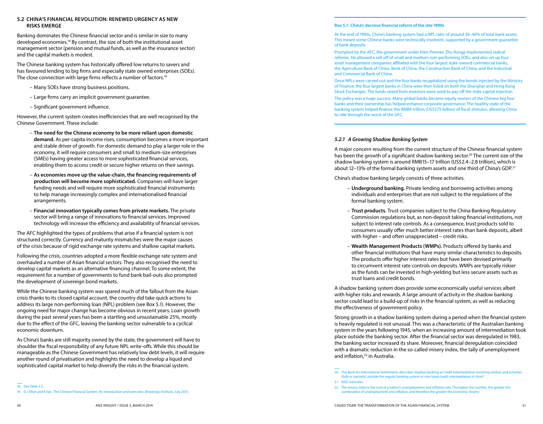# **5 . 2 CHINA'S FINANCIAL REVOLUTION: RENEWED URGENCY AS NEW RISKS EMERGE**

Banking dominates the Chinese financial sector and is similar in size to many developed economies.18 By contrast, the size of both the institutional asset management sector (pension and mutual funds, as well as the insurance sector) and the capital markets is modest.

The Chinese banking system has historically offered low returns to savers and has favoured lending to big firms and especially state owned enterprises (SOEs). The close connection with large firms reflects a number of factors.<sup>19</sup>

- Many SOEs have strong business positions.
- Large firms carry an implicit government guarantee.
- Significant government influence.

However, the current system creates inefficiencies that are well recognised by the Chinese Government. These include:

- **The need for the Chinese economy to be more reliant upon domestic demand.** As per-capita income rises, consumption becomes a more important and stable driver of growth. For domestic demand to play a larger role in the economy, it will require consumers and small to medium-size enterprises (SMEs) having greater access to more sophisticated financial services, enabling them to access credit or secure higher returns on their savings.
- **As economies move up the value-chain, the financing requirements of production will become more sophisticated.** Companies will have larger funding needs and will require more sophisticated financial instruments to help manage increasingly complex and internationalised financial arrangements.
- **Financial innovation typically comes from private markets.** The private sector will bring a range of innovations to financial services. Improved technology will increase the efficiency and availability of financial services.

The AFC highlighted the types of problems that arise if a financial system is not structured correctly. Currency and maturity mismatches were the major causes of the crisis because of rigid exchange rate systems and shallow capital markets.

Following the crisis, countries adopted a more flexible exchange rate system and overhauled a number of Asian financial sectors. They also recognised the need to develop capital markets as an alternative financing channel. To some extent, the requirement for a number of governments to fund bank bail-outs also prompted the development of sovereign bond markets.

While the Chinese banking system was spared much of the fallout from the Asian crisis thanks to its closed capital account, the country did take quick actions to address its large non-performing loan (NPL) problem (see Box 5.1). However, the ongoing need for major change has become obvious in recent years. Loan growth during the past several years has been a startling and unsustainable 25%, mostly due to the effect of the GFC, leaving the banking sector vulnerable to a cyclical economic downturn.

As China's banks are still majority owned by the state, the government will have to shoulder the fiscal responsibility of any future NPL write-offs. While this should be manageable as the Chinese Government has relatively low debt levels, it will require another round of privatisation and highlights the need to develop a liquid and sophisticated capital market to help diversify the risks in the financial system.

18 See Table 3.2.

19 D J Elliot and K Yan, 'The Chinese Financial System: An introduction and overview', Brookings Institute, July 2013.

#### **Box 5.1: China's decisive financial reform of the late 1990s**

At the end of 1990s, China's banking system had a NPL ratio of around 30–40% of total bank assets. This meant some Chinese banks were technically insolvent, supported by a government guarantee of bank deposits.

Prompted by the AFC, the government under then Premier Zhu Rongji implemented radical reforms. He allowed a sell-off of small and medium non-performing SOEs, and also set up four asset management companies affiliated with the four largest state-owned commercial banks, the Agriculture Bank of China, Bank of China, the Construction Bank of China, and the Industrial and Commercial Bank of China.

Once NPLs were carved out and the four banks recapitalised using the bonds injected by the Ministry of Finance, the four largest banks in China were then listed on both the Shanghai and Hong Kong Stock Exchanges. The funds raised from investors were used to pay off the state capital injection.

The policy was a huge success. Many global banks became equity owners of the Chinese big four banks and their ownership has helped enhance corporate governance. The healthy state of the banking system helped finance the RMB4 trillion (US\$575 billion) of fiscal stimulus, allowing China to ride through the worst of the GFC.

# *5.2.1 A Growing Shadow Banking System*

A major concern resulting from the current structure of the Chinese financial system has been the growth of a significant shadow banking sector.<sup>20</sup> The current size of the shadow banking system is around RMB15–17 trillion (US\$2.4–2.8 trillion), which is about 12-13% of the formal banking system assets and one third of China's GDP.<sup>21</sup>

China's shadow banking largely consists of three activities.

- **Underground banking.** Private lending and borrowing activities among individuals and enterprises that are not subject to the regulations of the formal banking system.
- **Trust products.** Trust companies subject to the China Banking Regulatory Commission regulations but, as non-deposit taking financial institutions, not subject to interest rate controls. As a consequence, trust products sold to consumers usually offer much better interest rates than bank deposits, albeit with higher – and often unappreciated – credit risks.
- **Wealth Management Products (WMPs).** Products offered by banks and other financial institutions that have many similar characteristics to deposits. The products offer higher interest rates but have been devised primarily to circumvent interest rate controls on deposits. WMPs are typically riskier as the funds can be invested in high-yielding but less secure assets such as trust loans and credit bonds.

A shadow banking system does provide some economically useful services albeit with higher risks and rewards. A large amount of activity in the shadow banking sector could lead to a build-up of risks in the financial system, as well as reducing the effectiveness of government policy.

Strong growth in a shadow banking system during a period when the financial system is heavily regulated is not unusual. This was a characteristic of the Australian banking system in the years following 1945, when an increasing amount of intermediation took place outside the banking sector. After the financial sector was deregulated in 1983, the banking sector increased its share. Moreover, financial deregulation coincided with a dramatic reduction in the so-called misery index, the tally of unemployment and inflation,<sup>22</sup> in Australia.

<sup>20</sup> The Bank for International Settlements describes shadow banking as 'credit intermediation involving entities and activities (fully or partially) outside the regular banking system or non-bank credit intermediation in short'.

<sup>21</sup> ANZ estimates.

<sup>22</sup> The misery index is the sum of a nation's unemployment and inflation rate. The higher the number, the greater the combination of unemployment and inflation, and therefore the greater the economic 'misery'.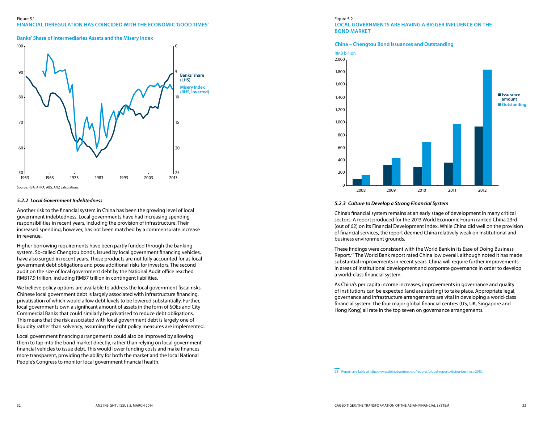# Figure 5.1 **FINANCIAL DEREGULATION HAS COINCIDED WITH THE ECONOMIC 'GOOD TIMES'**

#### **Banks' Share of Intermediaries Assets and the Misery Index**



Source: RBA, APRA, ABS, ANZ calculations.

#### *5.2.2 Local Government Indebtedness*

Another risk to the financial system in China has been the growing level of local government indebtedness. Local governments have had increasing spending responsibilities in recent years, including the provision of infrastructure. Their increased spending, however, has not been matched by a commensurate increase in revenue.

Higher borrowing requirements have been partly funded through the banking system. So-called Chengtou bonds, issued by local government financing vehicles, have also surged in recent years. These products are not fully accounted for as local government debt obligations and pose additional risks for investors. The second audit on the size of local government debt by the National Audit office reached RMB17.9 trillion, including RMB7 trillion in contingent liabilities.

We believe policy options are available to address the local government fiscal risks. Chinese local government debt is largely associated with infrastructure financing, privatisation of which would allow debt levels to be lowered substantially. Further, local governments own a significant amount of assets in the form of SOEs and City Commercial Banks that could similarly be privatised to reduce debt obligations. This means that the risk associated with local government debt is largely one of liquidity rather than solvency, assuming the right policy measures are implemented.

Local government financing arrangements could also be improved by allowing them to tap into the bond market directly, rather than relying on local government financial vehicles to issue debt. This would lower funding costs and make finances more transparent, providing the ability for both the market and the local National People's Congress to monitor local government financial health.

# Figure 5.2 **LOCAL GOVERNMENTS ARE HAVING A BIGGER INFLUENCE ON THE BOND MARKET**

**China – Chengtou Bond Issuances and Outstanding** 



# *5.2.3 Culture to Develop a Strong Financial System*

China's financial system remains at an early stage of development in many critical sectors. A report produced for the 2013 World Economic Forum ranked China 23rd (out of 62) on its Financial Development Index. While China did well on the provision of financial services, the report deemed China relatively weak on institutional and business environment grounds.

These findings were consistent with the World Bank in its Ease of Doing Business Report.23 The World Bank report rated China low overall, although noted it has made substantial improvements in recent years. China will require further improvements in areas of institutional development and corporate governance in order to develop a world-class financial system.

As China's per capita income increases, improvements in governance and quality of institutions can be expected (and are starting) to take place. Appropriate legal, governance and infrastructure arrangements are vital in developing a world-class financial system. The four major global financial centres (US, UK, Singapore and Hong Kong) all rate in the top seven on governance arrangements.

23 Report available at http://www.doingbusiness.org/reports/global-reports/doing-business-2013.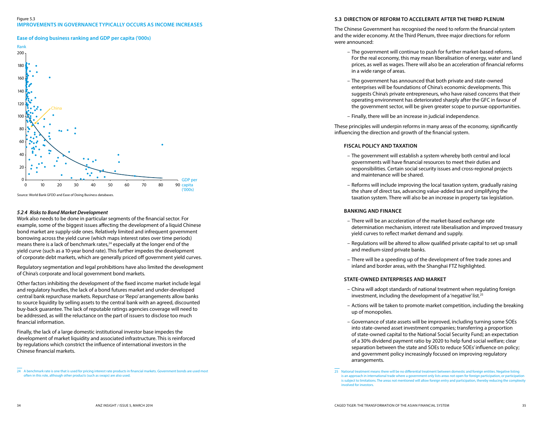# Figure 5.3 **IMPROVEMENTS IN GOVERNANCE TYPICALLY OCCURS AS INCOME INCREASES**

#### **Ease of doing business ranking and GDP per capita ('000s)**



Source: World Bank GFDD and Ease of Doing Business databases.

#### *5* . *2* . *4 Risks to Bond Market Development*

Work also needs to be done in particular segments of the financial sector. For example, some of the biggest issues affecting the development of a liquid Chinese bond market are supply-side ones. Relatively limited and infrequent government borrowing across the yield curve (which maps interest rates over time periods) means there is a lack of benchmark rates, $24$  especially at the longer end of the yield curve (such as a 10-year bond rate). This further impedes the development of corporate debt markets, which are generally priced off government yield curves.

Regulatory segmentation and legal prohibitions have also limited the development of China's corporate and local government bond markets.

Other factors inhibiting the development of the fixed income market include legal and regulatory hurdles, the lack of a bond futures market and under-developed central bank repurchase markets. Repurchase or 'Repo' arrangements allow banks to source liquidity by selling assets to the central bank with an agreed, discounted buy-back guarantee. The lack of reputable ratings agencies coverage will need to be addressed, as will the reluctance on the part of issuers to disclose too much financial information.

Finally, the lack of a large domestic institutional investor base impedes the development of market liquidity and associated infrastructure. This is reinforced by regulations which constrict the influence of international investors in the Chinese financial markets.

24 A benchmark rate is one that is used for pricing interest rate products in financial markets. Government bonds are used most often in this role, although other products (such as swaps) are also used.

The Chinese Government has recognised the need to reform the financial system and the wider economy. At the Third Plenum, three major directions for reform were announced:

- The government will continue to push for further market-based reforms. For the real economy, this may mean liberalisation of energy, water and land prices, as well as wages. There will also be an acceleration of financial reforms in a wide range of areas.
- The government has announced that both private and state-owned enterprises will be foundations of China's economic developments. This suggests China's private entrepreneurs, who have raised concerns that their operating environment has deteriorated sharply after the GFC in favour of the government sector, will be given greater scope to pursue opportunities.
- Finally, there will be an increase in judicial independence.

These principles will underpin reforms in many areas of the economy, significantly influencing the direction and growth of the financial system.

#### **FISCAL POLICY AND TAXATION**

- The government will establish a system whereby both central and local governments will have financial resources to meet their duties and responsibilities. Certain social security issues and cross-regional projects and maintenance will be shared.
- Reforms will include improving the local taxation system, gradually raising the share of direct tax, advancing value-added tax and simplifying the taxation system. There will also be an increase in property tax legislation.

# **BANKING AND FINANCE**

- There will be an acceleration of the market-based exchange rate determination mechanism, interest rate liberalisation and improved treasury yield curves to reflect market demand and supply.
- Regulations will be altered to allow qualified private capital to set up small and medium-sized private banks.
- There will be a speeding up of the development of free trade zones and inland and border areas, with the Shanghai FTZ highlighted.

# **STATE-OWNED ENTERPRISES AND MARKET**

- China will adopt standards of national treatment when regulating foreign investment, including the development of a 'negative' list.25
- Actions will be taken to promote market competition, including the breaking up of monopolies.
- Governance of state assets will be improved, including turning some SOEs into state-owned asset investment companies; transferring a proportion of state-owned capital to the National Social Security Fund; an expectation of a 30% dividend payment ratio by 2020 to help fund social welfare; clear separation between the state and SOEs to reduce SOEs' influence on policy; and government policy increasingly focused on improving regulatory arrangements.

<sup>25</sup> National treatment means there will be no differential treatment between domestic and foreign entities. Negative listing is an approach in international trade where a government only lists areas not open for foreign participation, or participation is subject to limitations. The areas not mentioned will allow foreign entry and participation, thereby reducing the cor involved for investors.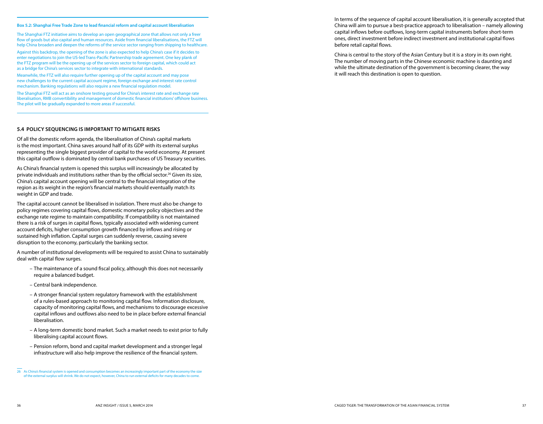#### **Box 5.2: Shanghai Free Trade Zone to lead financial reform and capital account liberalisation**

The Shanghai FTZ initiative aims to develop an open geographical zone that allows not only a freer flow of goods but also capital and human resources. Aside from financial liberalisations, the FTZ will help China broaden and deepen the reforms of the service sector ranging from shipping to healthcare.

Against this backdrop, the opening of the zone is also expected to help China's case if it decides to enter negotiations to join the US-led Trans-Pacific Partnership trade agreement. One key plank of the FTZ program will be the opening up of the services sector to foreign capital, which could act as a bridge for China's services sector to integrate with international standards.

Meanwhile, the FTZ will also require further opening up of the capital account and may pose new challenges to the current capital account regime, foreign exchange and interest rate control mechanism. Banking regulations will also require a new financial regulation model.

The Shanghai FTZ will act as an onshore testing ground for China's interest rate and exchange rate liberalisation, RMB convertibility and management of domestic financial institutions' offshore business. The pilot will be gradually expanded to more areas if successful.

#### **5.4 POLICY SEQUENCING IS IMPORTANT TO MITIGATE RISKS**

Of all the domestic reform agenda, the liberalisation of China's capital markets is the most important. China saves around half of its GDP with its external surplus representing the single biggest provider of capital to the world economy. At present this capital outflow is dominated by central bank purchases of US Treasury securities.

As China's financial system is opened this surplus will increasingly be allocated by private individuals and institutions rather than by the official sector.<sup>26</sup> Given its size, China's capital account opening will be central to the financial integration of the region as its weight in the region's financial markets should eventually match its weight in GDP and trade.

The capital account cannot be liberalised in isolation. There must also be change to policy regimes covering capital flows, domestic monetary policy objectives and the exchange rate regime to maintain compatibility. If compatibility is not maintained there is a risk of surges in capital flows, typically associated with widening current account deficits, higher consumption growth financed by inflows and rising or sustained high inflation. Capital surges can suddenly reverse, causing severe disruption to the economy, particularly the banking sector.

A number of institutional developments will be required to assist China to sustainably deal with capital flow surges.

- The maintenance of a sound fiscal policy, although this does not necessarily require a balanced budget.
- Central bank independence.
- A stronger financial system regulatory framework with the establishment of a rules-based approach to monitoring capital flow. Information disclosure, capacity of monitoring capital flows, and mechanisms to discourage excessive capital inflows and outflows also need to be in place before external financial liberalisation.
- A long-term domestic bond market. Such a market needs to exist prior to fully liberalising capital account flows.
- Pension reform, bond and capital market development and a stronger legal infrastructure will also help improve the resilience of the financial system.

In terms of the sequence of capital account liberalisation, it is generally accepted that China will aim to pursue a best-practice approach to liberalisation – namely allowing capital inflows before outflows, long-term capital instruments before short-term ones, direct investment before indirect investment and institutional capital flows before retail capital flows.

China is central to the story of the Asian Century but it is a story in its own right. The number of moving parts in the Chinese economic machine is daunting and while the ultimate destination of the government is becoming clearer, the way it will reach this destination is open to question.

<sup>26</sup> As China's financial system is opened and consumption becomes an increasingly important part of the economy the size of the external surplus will shrink. We do not expect, however, China to run external deficits for many decades to come.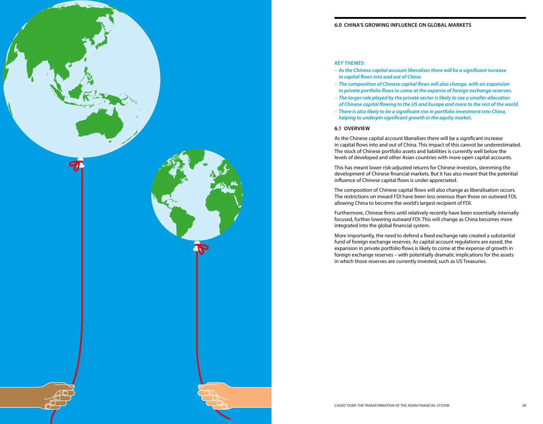

# **6.0 CHINA'S GROWING INFLUENCE ON GLOBAL MARKETS**

#### *KEY THEMES:*

- *As the Chinese capital account liberalises there will be a significant increase in capital flows into and out of China.*
- *The composition of Chinese capital flows will also change, with an expansion in private portfolio flows to come at the expense of foreign exchange reserves.*
- *The larger role played by the private sector is likely to see a smaller allocation of Chinese capital flowing to the US and Europe and more to the rest of the world.*
- *There is also likely to be a significant rise in portfolio investment into China, helping to underpin significant growth in the equity market.*

# **6.1 OVERVIEW**

As the Chinese capital account liberalises there will be a significant increase in capital flows into and out of China. This impact of this cannot be underestimated. The stock of Chinese portfolio assets and liabilities is currently well below the levels of developed and other Asian countries with more open capital accounts.

This has meant lower risk-adjusted returns for Chinese investors, stemming the development of Chinese financial markets. But it has also meant that the potential influence of Chinese capital flows is under appreciated.

The composition of Chinese capital flows will also change as liberalisation occurs. The restrictions on inward FDI have been less onerous than those on outward FDI, allowing China to become the world's largest recipient of FDI.

Furthermore, Chinese firms until relatively recently have been essentially internally focused, further lowering outward FDI. This will change as China becomes more integrated into the global financial system.

More importantly, the need to defend a fixed exchange rate created a substantial fund of foreign exchange reserves. As capital account regulations are eased, the expansion in private portfolio flows is likely to come at the expense of growth in foreign exchange reserves – with potentially dramatic implications for the assets in which those reserves are currently invested, such as US Treasuries.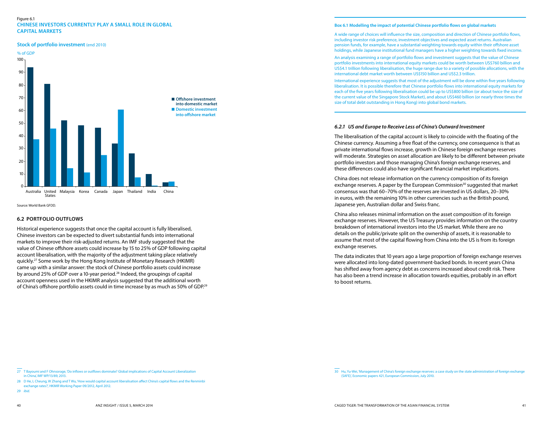# Figure 6.1 **CHINESE INVESTORS CURRENTLY PLAY A SMALL ROLE IN GLOBAL CAPITAL MARKETS**

# **Stock of portfolio investment (end 2010)**



Source: World Bank GFDD.

#### **6.2 PORTFOLIO OUTFLOWS**

Historical experience suggests that once the capital account is fully liberalised, Chinese investors can be expected to divert substantial funds into international markets to improve their risk-adjusted returns. An IMF study suggested that the value of Chinese offshore assets could increase by 15 to 25% of GDP following capital account liberalisation, with the majority of the adjustment taking place relatively quickly.27 Some work by the Hong Kong Institute of Monetary Research (HKIMR) came up with a similar answer: the stock of Chinese portfolio assets could increase by around 25% of GDP over a 10-year period.28 Indeed, the groupings of capital account openness used in the HKIMR analysis suggested that the additional worth of China's offshore portfolio assets could in time increase by as much as 50% of GDP.29

#### **Box 6.1 Modelling the impact of potential Chinese portfolio flows on global markets**

A wide range of choices will influence the size, composition and direction of Chinese portfolio flows, including investor risk preference, investment objectives and expected asset returns. Australian pension funds, for example, have a substantial weighting towards equity within their offshore asset holdings, while Japanese institutional fund managers have a higher weighting towards fixed income.

An analysis examining a range of portfolio flows and investment suggests that the value of Chinese portfolio investments into international equity markets could be worth between US\$760 billion and US\$4.1 trillion following liberalisation, the huge range due to a variety of possible allocations, with the international debt market worth between US\$150 billion and US\$2.3 trillion.

International experience suggests that most of the adjustment will be done within five years following liberalisation. It is possible therefore that Chinese portfolio flows into international equity markets for each of the five years following liberalisation could be up to US\$800 billion (or about twice the size of the current value of the Singapore Stock Market), and about US\$460 billion (or nearly three times the size of total debt outstanding in Hong Kong) into global bond markets.

#### *6.2.1 US and Europe to Receive Less of China's Outward Investment*

The liberalisation of the capital account is likely to coincide with the floating of the Chinese currency. Assuming a free float of the currency, one consequence is that as private international flows increase, growth in Chinese foreign exchange reserves will moderate. Strategies on asset allocation are likely to be different between private portfolio investors and those managing China's foreign exchange reserves, and these differences could also have significant financial market implications.

China does not release information on the currency composition of its foreign exchange reserves. A paper by the European Commission<sup>30</sup> suggested that market consensus was that 60–70% of the reserves are invested in US dollars, 20–30% in euros, with the remaining 10% in other currencies such as the British pound, Japanese yen, Australian dollar and Swiss franc.

China also releases minimal information on the asset composition of its foreign exchange reserves. However, the US Treasury provides information on the country breakdown of international investors into the US market. While there are no details on the public/private split on the ownership of assets, it is reasonable to assume that most of the capital flowing from China into the US is from its foreign exchange reserves.

The data indicates that 10 years ago a large proportion of foreign exchange reserves were allocated into long-dated government-backed bonds. In recent years China has shifted away from agency debt as concerns increased about credit risk. There has also been a trend increase in allocation towards equities, probably in an effort to boost returns.

- 28 D He, L Cheung, W Zhang and T Wu, 'How would capital account liberalisation affect China's capital flows and the Renminb exchange rates?', HKIMR Working Paper 09/2012, April 2012.
- 29 *ibid*.

30 Hu, Yu-Wei, 'Management of China's foreign exchange reserves: a case study on the state administration of foreign exchange (SAFE)', Economic papers 421, European Commission, July 2010.

<sup>27</sup> T Bayoumi and F Ohnsorage, 'Do inflows or outflows dominate? Global implications of Capital Account Liberalization in China', IMF WP/13/89, 2013.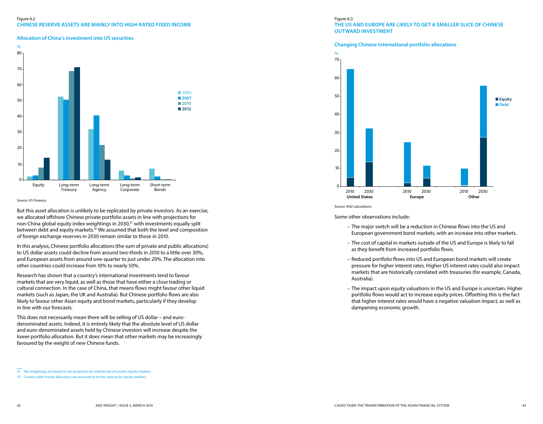# Figure 6.2 **CHINESE RESERVE ASSETS ARE MAINLY INTO HIGH-RATED FIXED INCOME**

#### **Allocation of China's investment into US securities**



#### Source: US Treasury.

But this asset allocation is unlikely to be replicated by private investors. As an exercise, we allocated offshore Chinese private portfolio assets in line with projections for non-China global equity index weightings in 2030,31 with investments equally split between debt and equity markets.32 We assumed that both the level and composition of foreign exchange reserves in 2030 remain similar to those in 2010.

In this analysis, Chinese portfolio allocations (the sum of private and public allocations) to US dollar assets could decline from around two-thirds in 2010 to a little over 30%, and European assets from around one-quarter to just under 20%. The allocation into other countries could increase from 10% to nearly 50%.

Research has shown that a country's international investments tend to favour markets that are very liquid, as well as those that have either a close trading or cultural connection. In the case of China, that means flows might favour other liquid markets (such as Japan, the UK and Australia). But Chinese portfolio flows are also likely to favour other Asian equity and bond markets, particularly if they develop in line with our forecasts.

This does not necessarily mean there will be selling of US dollar – and eurodenominated assets. Indeed, it is entirely likely that the absolute level of US dollar and euro-denominated assets held by Chinese investors will increase despite the lower portfolio allocation. But it does mean that other markets may be increasingly favoured by the weight of new Chinese funds.

# Figure 6.3 **THE US AND EUROPE ARE LIKELY TO GET A SMALLER SLICE OF CHINESE OUTWARD INVESTMENT**

**Changing Chinese international portfolio allocations** 



Source: ANZ calculations.

Some other observations include:

- The major switch will be a reduction in Chinese flows into the US and European government bond markets, with an increase into other markets.
- The cost of capital in markets outside of the US and Europe is likely to fall as they benefit from increased portfolio flows.
- Reduced portfolio flows into US and European bond markets will create pressure for higher interest rates. Higher US interest rates could also impact markets that are historically correlated with treasuries (for example, Canada, Australia).
- The impact upon equity valuations in the US and Europe is uncertain. Higher portfolio flows would act to increase equity prices. Offsetting this is the fact that higher interest rates would have a negative valuation impact, as well as dampening economic growth.

<sup>31</sup> The weightings are based on our projection for relative size of country equity markets.

<sup>32</sup> Country debt market allocations are assumed to be the same as for equity markets.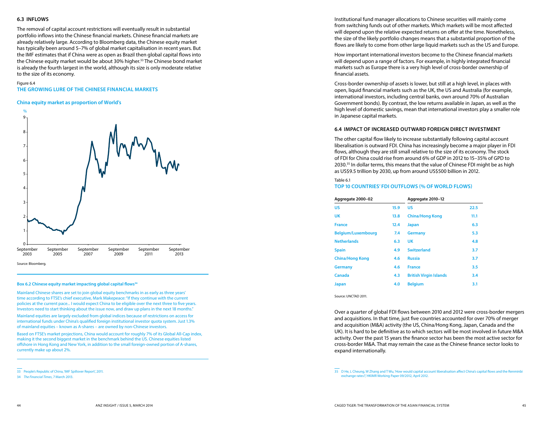# **6.3 INFLOWS**

The removal of capital account restrictions will eventually result in substantial portfolio inflows into the Chinese financial markets. Chinese financial markets are already relatively large. According to Bloomberg data, the Chinese equity market has typically been around 5–7% of global market capitalisation in recent years. But the IMF estimates that if China were as open as Brazil then global capital flows into the Chinese equity market would be about 30% higher.<sup>33</sup> The Chinese bond market is already the fourth largest in the world, although its size is only moderate relative to the size of its economy.

#### Figure 6.4

# **THE GROWING LURE OF THE CHINESE FINANCIAL MARKETS**

#### **China equity market as proportion of World's**



Source: Bloomberg.

#### **Box 6.2 Chinese equity market impacting global capital flows34**

Mainland Chinese shares are set to join global equity benchmarks in as early as three years' time according to FTSE's chief executive, Mark Makepeace: "If they continue with the current policies at the current pace... I would expect China to be eligible over the next three to five years. Investors need to start thinking about the issue now, and draw up plans in the next 18 months."

Mainland equities are largely excluded from global indices because of restrictions on access for international funds under China's qualified foreign institutional investor quota system. Just 1.3% of mainland equities – known as A-shares – are owned by non-Chinese investors.

Based on FTSE's market projections, China would account for roughly 7% of its Global All-Cap index, making it the second biggest market in the benchmark behind the US. Chinese equities listed offshore in Hong Kong and New York, in addition to the small foreign-owned portion of A-shares, currently make up about 2%.

33 People's Republic of China, 'IMF Spillover Report', 2011.

34 *The Financial Times*, 7 March 2013.

Institutional fund manager allocations to Chinese securities will mainly come from switching funds out of other markets. Which markets will be most affected will depend upon the relative expected returns on offer at the time. Nonetheless, the size of the likely portfolio changes means that a substantial proportion of the flows are likely to come from other large liquid markets such as the US and Europe.

How important international investors become to the Chinese financial markets will depend upon a range of factors. For example, in highly integrated financial markets such as Europe there is a very high level of cross-border ownership of financial assets.

Cross-border ownership of assets is lower, but still at a high level, in places with open, liquid financial markets such as the UK, the US and Australia (for example, international investors, including central banks, own around 70% of Australian Government bonds). By contrast, the low returns available in Japan, as well as the high level of domestic savings, mean that international investors play a smaller role in Japanese capital markets.

# **6.4 IMPACT OF INCREASED OUTWARD FOREIGN DIRECT INVESTMENT**

The other capital flow likely to increase substantially following capital account liberalisation is outward FDI. China has increasingly become a major player in FDI flows, although they are still small relative to the size of its economy. The stock of FDI for China could rise from around 6% of GDP in 2012 to 15–35% of GPD to 2030.35 In dollar terms, this means that the value of Chinese FDI might be as high as US\$9.5 trillion by 2030, up from around US\$500 billion in 2012.

#### Table 6.1 **TOP 10 COUNTRIES' FDI OUTFLOWS (% OF WORLD FLOWS)**

| Aggregate 2000-02         |      | Aggregate 2010-12             |      |  |
|---------------------------|------|-------------------------------|------|--|
| <b>US</b>                 | 15.9 | <b>US</b>                     | 22.5 |  |
| UK                        | 13.8 | <b>China/Hong Kong</b>        | 11.1 |  |
| <b>France</b>             | 12.4 | <b>Japan</b>                  | 6.3  |  |
| <b>Belgium/Luxembourg</b> | 7.4  | <b>Germany</b>                | 5.3  |  |
| <b>Netherlands</b>        | 6.3  | UK                            | 4.8  |  |
| <b>Spain</b>              | 4.9  | <b>Switzerland</b>            | 3.7  |  |
| <b>China/Hong Kong</b>    | 4.6  | <b>Russia</b>                 | 3.7  |  |
| <b>Germany</b>            | 4.6  | <b>France</b>                 | 3.5  |  |
| Canada                    | 4.3  | <b>British Virgin Islands</b> | 3.4  |  |
| Japan                     | 4.0  | <b>Belgium</b>                | 3.1  |  |

Source: UNCTAD 2011.

Over a quarter of global FDI flows between 2010 and 2012 were cross-border mergers and acquisitions. In that time, just five countries accounted for over 70% of merger and acquisition (M&A) activity (the US, China/Hong Kong, Japan, Canada and the UK). It is hard to be definitive as to which sectors will be most involved in future M&A activity. Over the past 15 years the finance sector has been the most active sector for cross-border M&A. That may remain the case as the Chinese finance sector looks to expand internationally.

35 D He, L Cheung, W Zhang and T Wu, 'How would capital account liberalisation affect China's capital flows and the Renminbi exchange rates?,' HKIMR Working Paper 09/2012, April 2012.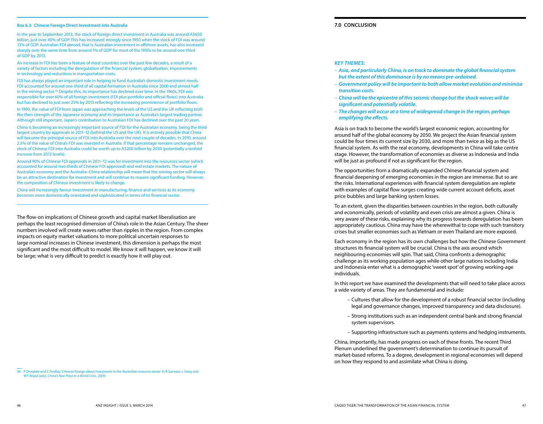# **Box 6.3: Chinese Foreign Direct Investment into Australia 7.0 CONCLUSION**

In the year to September 2013, the stock of foreign direct investment in Australia was around A\$650 billion, just over 40% of GDP. This has increased strongly since 1950 when the stock of FDI was around 13% of GDP. Australian FDI abroad, that is Australian investment in offshore assets, has also increased sharply over the same time from around 1% of GDP for most of the 1950s to be around one-third of GDP by 2013.

An increase in FDI has been a feature of most countries over the past few decades, a result of a variety of factors including the deregulation of the financial system, globalisation, improvements in technology and reductions in transportation costs.

FDI has always played an important role in helping to fund Australia's domestic investment needs. FDI accounted for around one-third of all capital formation in Australia since 2000 and almost half in the mining sector.<sup>36</sup> Despite this, its importance has declined over time. In the 1960s, FDI was responsible for over 60% of all foreign investment (FDI plus portfolio and official flows) into Australia but has declined to just over 25% by 2013 reflecting the increasing prominence of portfolio flows.

In 1990, the value of FDI from Japan was approaching the levels of the US and the UK reflecting both the then strength of the Japanese economy and its importance as Australia's largest trading partner. Although still important, Japan's contribution to Australia's FDI has declined over the past 20 years.

China is becoming an increasingly important source of FDI for the Australian economy, being the third largest country by approvals in 2011–12 (behind the US and the UK). It is entirely possible that China will become the principal source of FDI into Australia over the next couple of decades. In 2010, around 2.5% of the value of China's FDI was invested in Australia. If that percentage remains unchanged, the stock of Chinese FDI into Australia could be worth up to A\$200 billion by 2030 (potentially a tenfold increase from 2012 levels).

Around 90% of Chinese FDI approvals in 2011–12 was for investment into the resources sector (which accounted for around two-thirds of Chinese FDI approved) and real estate markets. The nature of Australia's economy and the Australia–China relationship will mean that the mining sector will always be an attractive destination for investment and will continue to require significant funding. However, the composition of Chinese investment is likely to change.

China will increasingly favour investment in manufacturing, finance and services as its economy becomes more domestically orientated and sophisticated in terms of its financial sector.

The flow-on implications of Chinese growth and capital market liberalisation are perhaps the least recognised dimension of China's role in the Asian Century. The sheer numbers involved will create waves rather than ripples in the region. From complex impacts on equity market valuations to more political uncertain responses to large nominal increases in Chinese investment, this dimension is perhaps the most significant and the most difficult to model. We know it will happen, we know it will be large; what is very difficult to predict is exactly how it will play out.

#### *KEY THEMES:*

- *Asia, and particularly China, is on track to dominate the global financial system but the extent of this dominance is by no means pre-ordained.*
- *Government policy will be important to both allow market evolution and minimise transition costs.*
- *China will be the epicentre of this seismic change but the shock waves will be significant and potentially volatile.*
- *The changes will occur at a time of widespread change in the region, perhaps amplifying the effects.*

Asia is on track to become the world's largest economic region, accounting for around half of the global economy by 2050. We project the Asian financial system could be four times its current size by 2030, and more than twice as big as the US financial system. As with the real economy, developments in China will take centre stage. However, the transformation of economies as diverse as Indonesia and India will be just as profound if not as significant for the region.

The opportunities from a dramatically expanded Chinese financial system and financial deepening of emerging economies in the region are immense. But so are the risks. International experiences with financial system deregulation are replete with examples of capital flow surges creating wide current account deficits, asset price bubbles and large banking system losses.

To an extent, given the disparities between countries in the region, both culturally and economically, periods of volatility and even crisis are almost a given. China is very aware of these risks, explaining why its progress towards deregulation has been appropriately cautious. China may have the wherewithal to cope with such transitory crises but smaller economies such as Vietnam or even Thailand are more exposed.

Each economy in the region has its own challenges but how the Chinese Government structures its financial system will be crucial. China is the axis around which neighbouring economies will spin. That said, China confronts a demographic challenge as its working population ages while other large nations including India and Indonesia enter what is a demographic 'sweet spot' of growing working-age individuals.

In this report we have examined the developments that will need to take place across a wide variety of areas. They are fundamental and include:

- Cultures that allow for the development of a robust financial sector (including legal and governance changes, improved transparency and data disclosure).
- Strong institutions such as an independent central bank and strong financial system supervisors.
- Supporting infrastructure such as payments systems and hedging instruments.

China, importantly, has made progress on each of these fronts. The recent Third Plenum underlined the government's determination to continue its pursuit of market-based reforms. To a degree, development in regional economies will depend on how they respond to and assimilate what China is doing.

36 P Drysdale and C Findlay, 'Chinese foreign direct investment in the Australian resource sector' in R Garnaut, L Song and WT Wood (eds), *China's New Place in a World Crisis*, 2009.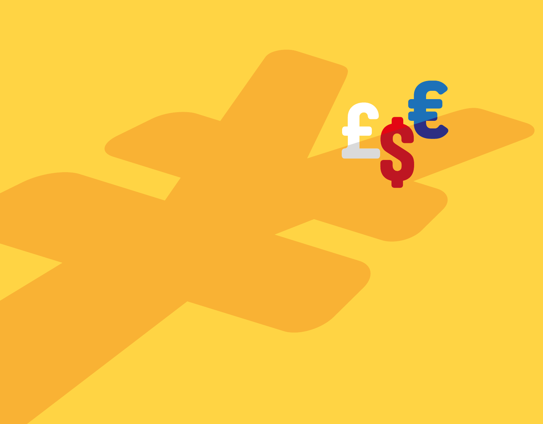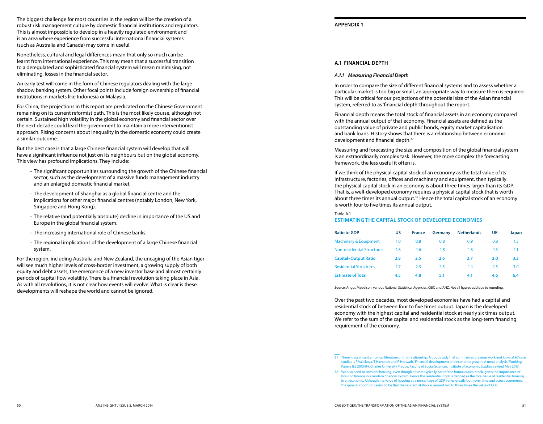The biggest challenge for most countries in the region will be the creation of a robust risk management culture by domestic financial institutions and regulators. This is almost impossible to develop in a heavily regulated environment and is an area where experience from successful international financial systems (such as Australia and Canada) may come in useful.

Nonetheless, cultural and legal differences mean that only so much can be learnt from international experience. This may mean that a successful transition to a deregulated and sophisticated financial system will mean minimising, not eliminating, losses in the financial sector.

An early test will come in the form of Chinese regulators dealing with the large shadow banking system. Other focal points include foreign ownership of financial institutions in markets like Indonesia or Malaysia.

For China, the projections in this report are predicated on the Chinese Government remaining on its current reformist path. This is the most likely course, although not certain. Sustained high volatility in the global economy and financial sector over the next decade could lead the government to maintain a more interventionist approach. Rising concerns about inequality in the domestic economy could create a similar outcome.

But the best case is that a large Chinese financial system will develop that will have a significant influence not just on its neighbours but on the global economy. This view has profound implications. They include:

- The significant opportunities surrounding the growth of the Chinese financial sector, such as the development of a massive funds management industry and an enlarged domestic financial market.
- The development of Shanghai as a global financial centre and the implications for other major financial centres (notably London, New York, Singapore and Hong Kong).
- The relative (and potentially absolute) decline in importance of the US and Europe in the global financial system.
- The increasing international role of Chinese banks.
- The regional implications of the development of a large Chinese financial system.

For the region, including Australia and New Zealand, the uncaging of the Asian tiger will see much higher levels of cross-border investment, a growing supply of both equity and debt assets, the emergence of a new investor base and almost certainly periods of capital flow volatility. There is a financial revolution taking place in Asia. As with all revolutions, it is not clear how events will evolve. What is clear is these developments will reshape the world and cannot be ignored.

#### **APPENDIX 1**

# **A.1 FINANCIAL DEPTH**

# *A.1.1 Measuring Financial Depth*

In order to compare the size of different financial systems and to assess whether a particular market is too big or small, an appropriate way to measure them is required. This will be critical for our projections of the potential size of the Asian financial system, referred to as 'financial depth' throughout the report.

Financial depth means the total stock of financial assets in an economy compared with the annual output of that economy. Financial assets are defined as the outstanding value of private and public bonds, equity market capitalisation and bank loans. History shows that there is a relationship between economic development and financial depth.37

Measuring and forecasting the size and composition of the global financial system is an extraordinarily complex task. However, the more complex the forecasting framework, the less useful it often is.

If we think of the physical capital stock of an economy as the total value of its infrastructure, factories, offices and machinery and equipment, then typically the physical capital stock in an economy is about three times larger than its GDP. That is, a well-developed economy requires a physical capital stock that is worth about three times its annual output.<sup>38</sup> Hence the total capital stock of an economy is worth four to five times its annual output.

#### Table A.1

# **ESTIMATING THE CAPITAL STOCK OF DEVELOPED ECONOMIES**

| <b>Ratio to GDP</b>               | US  | <b>France</b> | Germany | <b>Netherlands</b> | UK  | Japan |
|-----------------------------------|-----|---------------|---------|--------------------|-----|-------|
| <b>Machinery &amp; Equipment</b>  | 1.0 | 0.8           | 0.8     | 0.9                | 0.8 | 1.3   |
| <b>Non-residential Structures</b> | 1.8 | 1.6           | 1.8     | 1.8                | 1.3 | 2.1   |
| <b>Capital-Output Ratio</b>       | 2.8 | 2.5           | 2.6     | 2.7                | 2.0 | 3.3   |
| <b>Residential Structures</b>     | 1.7 | 2.3           | 2.5     | 1.4                | 2.5 | 3.0   |
| <b>Estimate of Total</b>          | 4.5 | 4.8           | 5.1     | 4.1                | 4.6 | 6.4   |

Source: Angus Maddison, various National Statistical Agencies, CEIC and ANZ. Not all figures add due to rounding.

Over the past two decades, most developed economies have had a capital and residential stock of between four to five times output. Japan is the developed economy with the highest capital and residential stock at nearly six times output. We refer to the sum of the capital and residential stock as the long-term financing requirement of the economy.

<sup>37</sup> There is significant empirical literature on this relationship. A good study that summarises previous work and looks at 67 case studies is P Valickova, T Havranek and R Horwath, 'Financial development and economic growth: A meta-analysis,' Working Papers IES 2013/04, Charles University Prague, Faculty of Social Sciences, Institute of Economic Studies, revised May 2013.

<sup>38</sup> We also need to consider housing, even though it is not typically part of the formal capital stock, given the importance of housing finance in a modern financial system. Hence the residential stock is defined as the total value of residential housing in an economy. Although the value of housing as a percentage of GDP varies greatly both over time and across economies, the general condition seems to be that the residential stock is around two to three times the value of GDP.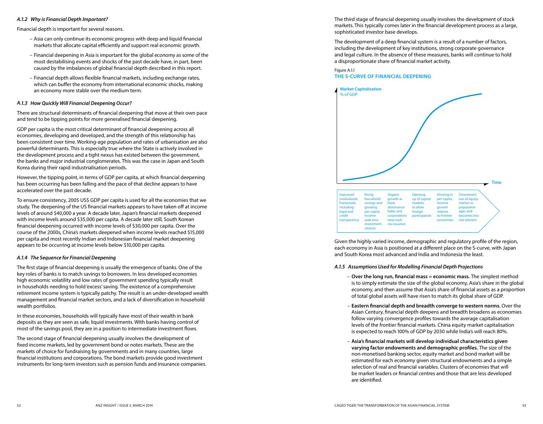# *A. 1 . 2 Why is Financial Depth Important?*

Financial depth is important for several reasons.

- Asia can only continue its economic progress with deep and liquid financial markets that allocate capital efficiently and support real economic growth.
- Financial deepening in Asia is important for the global economy as some of the most destabilising events and shocks of the past decade have, in part, been caused by the imbalances of global financial depth described in this report.
- Financial depth allows flexible financial markets, including exchange rates, which can buffer the economy from international economic shocks, making an economy more stable over the medium term.

# *A. 1 . 3 How Quickly Will Financial Deepening Occur?*

There are structural determinants of financial deepening that move at their own pace and tend to be tipping points for more generalised financial deepening.

GDP per capita is the most critical determinant of financial deepening across all economies, developing and developed, and the strength of this relationship has been consistent over time. Working-age population and rates of urbanisation are also powerful determinants. This is especially true where the State is actively involved in the development process and a tight nexus has existed between the government, the banks and major industrial conglomerates. This was the case in Japan and South Korea during their rapid industrialisation periods.

However, the tipping point, in terms of GDP per capita, at which financial deepening has been occurring has been falling and the pace of that decline appears to have accelerated over the past decade.

To ensure consistency, 2005 US\$ GDP per capita is used for all the economies that we study. The deepening of the US financial markets appears to have taken off at income levels of around \$40,000 a year. A decade later, Japan's financial markets deepened with income levels around \$35,000 per capita. A decade later still, South Korean financial deepening occurred with income levels of \$30,000 per capita. Over the course of the 2000s, China's markets deepened when income levels reached \$15,000 per capita and most recently Indian and Indonesian financial market deepening appears to be occurring at income levels below \$10,000 per capita.

# *A. 1 . 4 The Sequence for Financial Deepening*

The first stage of financial deepening is usually the emergence of banks. One of the key roles of banks is to match savings to borrowers. In less developed economies high economic volatility and low rates of government spending typically result in households needing to hold 'excess' saving. The existence of a comprehensive retirement income system is typically patchy. The result is an under-developed wealth management and financial market sectors, and a lack of diversification in household wealth portfolios.

In these economies, households will typically have most of their wealth in bank deposits as they are seen as safe, liquid investments. With banks having control of most of the savings pool, they are in a position to intermediate investment flows.

The second stage of financial deepening usually involves the development of fixed income markets, led by government bond or notes markets. These are the markets of choice for fundraising by governments and in many countries, large financial institutions and corporations. The bond markets provide good investment instruments for long-term investors such as pension funds and insurance companies. The third stage of financial deepening usually involves the development of stock markets. This typically comes later in the financial development process as a large, sophisticated investor base develops.

The development of a deep financial system is a result of a number of factors, including the development of key institutions, strong corporate governance and legal culture. In the absence of these measures, banks will continue to hold a disproportionate share of financial market activity.

#### Figure A.1.1 **THE S-CURVE OF FINANCIAL DEEPENING**



Given the highly varied income, demographic and regulatory profile of the region, each economy in Asia is positioned at a different place on the S-curve, with Japan and South Korea most advanced and India and Indonesia the least.

# *A. 1 . 5 Assumptions Used for Modelling Financial Depth Projections*

- **Over the long run, financial mass = economic mass.** The simplest method is to simply estimate the size of the global economy, Asia's share in the global economy, and then assume that Asia's share of financial assets as a proportion of total global assets will have risen to match its global share of GDP.
- **Eastern financial depth and breadth converge to western norms.** Over the Asian Century, financial depth deepens and breadth broadens as economies follow varying convergence profiles towards the average capitalisation levels of the frontier financial markets. China equity market capitalisation is expected to reach 100% of GDP by 2030 while India's will reach 80%.
- **Asia's financial markets will develop individual characteristics given varying factor endowments and demographic profiles.** The size of the non-monetised banking sector, equity market and bond market will be estimated for each economy given structural endowments and a simple selection of real and financial variables. Clusters of economies that will be market leaders or financial centres and those that are less developed are identified.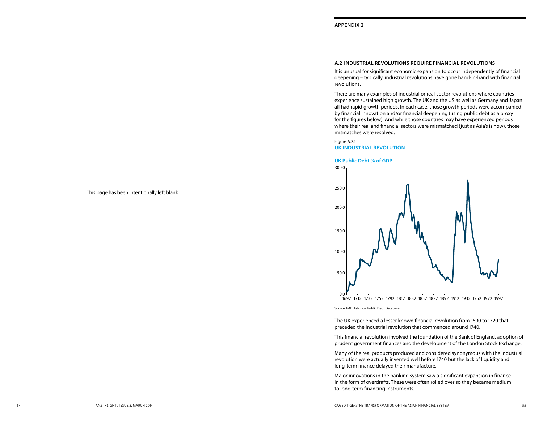#### **A.2 INDUSTRIAL REVOLUTIONS REQUIRE FINANCIAL REVOLUTIONS**

It is unusual for significant economic expansion to occur independently of financial deepening – typically, industrial revolutions have gone hand-in-hand with financial revolutions.

There are many examples of industrial or real-sector revolutions where countries experience sustained high growth. The UK and the US as well as Germany and Japan all had rapid growth periods. In each case, those growth periods were accompanied by financial innovation and/or financial deepening (using public debt as a proxy for the figures below). And while those countries may have experienced periods where their real and financial sectors were mismatched (just as Asia's is now), those mismatches were resolved.

# Figure A.2.1

# **UK INDUSTRIAL REVOLUTION**





Source: IMF Historical Public Debt Database.

The UK experienced a lesser known financial revolution from 1690 to 1720 that preceded the industrial revolution that commenced around 1740.

This financial revolution involved the foundation of the Bank of England, adoption of prudent government finances and the development of the London Stock Exchange.

Many of the real products produced and considered synonymous with the industrial revolution were actually invented well before 1740 but the lack of liquidity and long-term finance delayed their manufacture.

Major innovations in the banking system saw a significant expansion in finance in the form of overdrafts. These were often rolled over so they became medium to long-term financing instruments.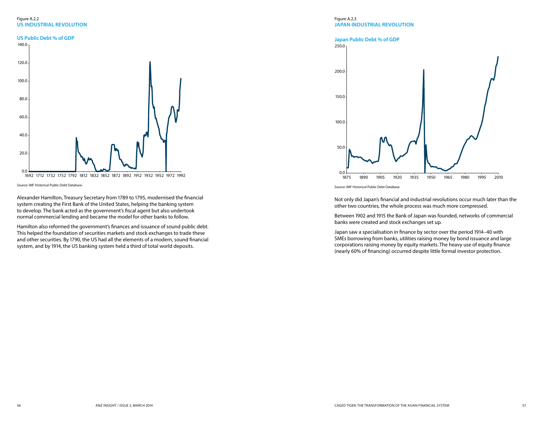# Figure A.2.2 **US INDUSTRIAL REVOLUTION**



Source: IMF Historical Public Debt Database.

Alexander Hamilton, Treasury Secretary from 1789 to 1795, modernised the financial system creating the First Bank of the United States, helping the banking system to develop. The bank acted as the government's fiscal agent but also undertook normal commercial lending and became the model for other banks to follow.

Hamilton also reformed the government's finances and issuance of sound public debt. This helped the foundation of securities markets and stock exchanges to trade these and other securities. By 1790, the US had all the elements of a modern, sound financial system, and by 1914, the US banking system held a third of total world deposits.

#### Figure A.2.3 **JAPAN INDUSTRIAL REVOLUTION**



Source: IMF Historical Public Debt Database.

Not only did Japan's financial and industrial revolutions occur much later than the other two countries, the whole process was much more compressed.

Between 1902 and 1915 the Bank of Japan was founded, networks of commercial banks were created and stock exchanges set up.

Japan saw a specialisation in finance by sector over the period 1914–40 with SMEs borrowing from banks, utilities raising money by bond issuance and large corporations raising money by equity markets. The heavy use of equity finance (nearly 60% of financing) occurred despite little formal investor protection.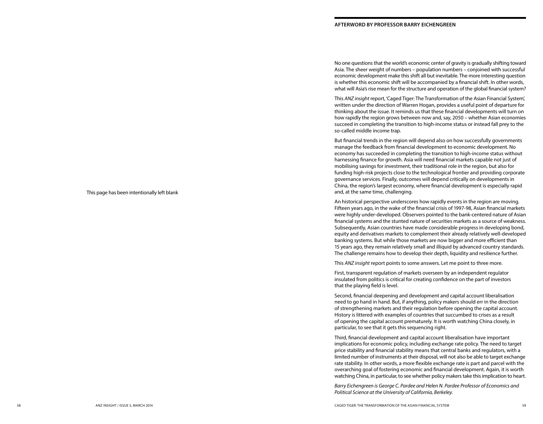No one questions that the world's economic center of gravity is gradually shifting toward Asia. The sheer weight of numbers – population numbers – conjoined with successful economic development make this shift all but inevitable. The more interesting question is whether this economic shift will be accompanied by a financial shift. In other words, what will Asia's rise mean for the structure and operation of the global financial system?

This *ANZ insight* report, 'Caged Tiger: The Transformation of the Asian Financial System', written under the direction of Warren Hogan, provides a useful point of departure for thinking about the issue. It reminds us that these financial developments will turn on how rapidly the region grows between now and, say, 2050 – whether Asian economies succeed in completing the transition to high-income status or instead fall prey to the so-called middle income trap.

But financial trends in the region will depend also on how successfully governments manage the feedback from financial development to economic development. No economy has succeeded in completing the transition to high-income status without harnessing finance for growth. Asia will need financial markets capable not just of mobilising savings for investment, their traditional role in the region, but also for funding high-risk projects close to the technological frontier and providing corporate governance services. Finally, outcomes will depend critically on developments in China, the region's largest economy, where financial development is especially rapid and, at the same time, challenging.

An historical perspective underscores how rapidly events in the region are moving. Fifteen years ago, in the wake of the financial crisis of 1997-98, Asian financial markets were highly under-developed. Observers pointed to the bank-centered nature of Asian financial systems and the stunted nature of securities markets as a source of weakness. Subsequently, Asian countries have made considerable progress in developing bond, equity and derivatives markets to complement their already relatively well-developed banking systems. But while those markets are now bigger and more efficient than 15 years ago, they remain relatively small and illiquid by advanced country standards. The challenge remains how to develop their depth, liquidity and resilience further.

This *ANZ insight* report points to some answers. Let me point to three more.

First, transparent regulation of markets overseen by an independent regulator insulated from politics is critical for creating confidence on the part of investors that the playing field is level.

Second, financial deepening and development and capital account liberalisation need to go hand in hand. But, if anything, policy makers should err in the direction of strengthening markets and their regulation before opening the capital account. History is littered with examples of countries that succumbed to crises as a result of opening the capital account prematurely. It is worth watching China closely, in particular, to see that it gets this sequencing right.

Third, financial development and capital account liberalisation have important implications for economic policy, including exchange rate policy. The need to target price stability and financial stability means that central banks and regulators, with a limited number of instruments at their disposal, will not also be able to target exchange rate stability. In other words, a more flexible exchange rate is part and parcel with the overarching goal of fostering economic and financial development. Again, it is worth watching China, in particular, to see whether policy makers take this implication to heart.

*Barry Eichengreen is George C. Pardee and Helen N. Pardee Professor of Economics and Political Science at the University of California, Berkeley.*

This page has been intentionally left blank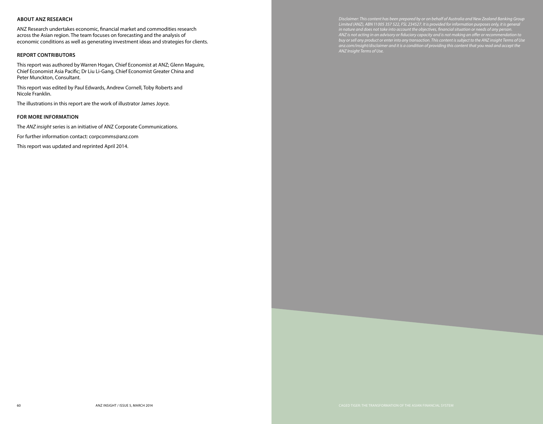# **ABOUT ANZ RESEARCH**

ANZ Research undertakes economic, financial market and commodities research across the Asian region. The team focuses on forecasting and the analysis of economic conditions as well as generating investment ideas and strategies for clients.

#### **REPORT CONTRIBUTORS**

This report was authored by Warren Hogan, Chief Economist at ANZ; Glenn Maguire, Chief Economist Asia Pacific; Dr Liu Li-Gang, Chief Economist Greater China and Peter Munckton, Consultant.

This report was edited by Paul Edwards, Andrew Cornell, Toby Roberts and Nicole Franklin.

The illustrations in this report are the work of illustrator James Joyce.

# **FOR MORE INFORMATION**

The *ANZ insight* series is an initiative of ANZ Corporate Communications.

For further information contact: corpcomms@anz.com

This report was updated and reprinted April 2014.

*Disclaimer: This content has been prepared by or on behalf of Australia and New Zealand Banking Group Limited (ANZ), ABN 11 005 357 522, FSL 234527. It is provided for information purposes only, it is general in nature and does not take into account the objectives, financial situation or needs of any person. buy or sell any product or enter into any transaction. This content is subject to the ANZ insight Terms of Use anz.com/insight/disclaimer and it is a condition of providing this content that you read and accept the ANZ Insight Terms of Use.*